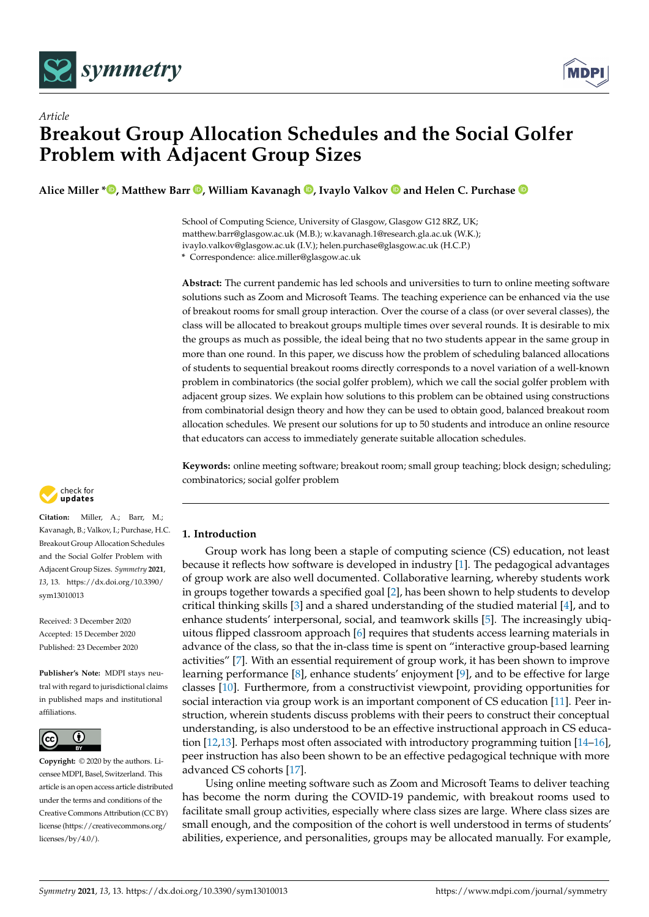

*Article*



# **Breakout Group Allocation Schedules and the Social Golfer Problem with Adjacent Group Sizes**

**Alice Miller \* [,](https://orcid.org/0000-0002-0941-1717) Matthew Barr [,](https://orcid.org/0000-0002-5147-0673) William Kavanagh [,](https://orcid.org/0000-0003-0521-1643) Ivaylo Valkov and Helen C. Purchase**

School of Computing Science, University of Glasgow, Glasgow G12 8RZ, UK; matthew.barr@glasgow.ac.uk (M.B.); w.kavanagh.1@research.gla.ac.uk (W.K.); ivaylo.valkov@glasgow.ac.uk (I.V.); helen.purchase@glasgow.ac.uk (H.C.P.)

**\*** Correspondence: alice.miller@glasgow.ac.uk

**Abstract:** The current pandemic has led schools and universities to turn to online meeting software solutions such as Zoom and Microsoft Teams. The teaching experience can be enhanced via the use of breakout rooms for small group interaction. Over the course of a class (or over several classes), the class will be allocated to breakout groups multiple times over several rounds. It is desirable to mix the groups as much as possible, the ideal being that no two students appear in the same group in more than one round. In this paper, we discuss how the problem of scheduling balanced allocations of students to sequential breakout rooms directly corresponds to a novel variation of a well-known problem in combinatorics (the social golfer problem), which we call the social golfer problem with adjacent group sizes. We explain how solutions to this problem can be obtained using constructions from combinatorial design theory and how they can be used to obtain good, balanced breakout room allocation schedules. We present our solutions for up to 50 students and introduce an online resource that educators can access to immediately generate suitable allocation schedules.

**Keywords:** online meeting software; breakout room; small group teaching; block design; scheduling; combinatorics; social golfer problem



**Citation:** Miller, A.; Barr, M.; Kavanagh, B.; Valkov, I.; Purchase, H.C. Breakout Group Allocation Schedules and the Social Golfer Problem with Adjacent Group Sizes. *Symmetry* **2021**, *13*, 13. [https://dx.doi.org/10.3390/](https://dx.doi.org/10.3390/sym13010013) [sym13010013](https://dx.doi.org/10.3390/sym13010013)

Received: 3 December 2020 Accepted: 15 December 2020 Published: 23 December 2020

**Publisher's Note:** MDPI stays neutral with regard to jurisdictional claims in published maps and institutional affiliations.



**Copyright:** © 2020 by the authors. Licensee MDPI, Basel, Switzerland. This article is an open access article distributed under the terms and conditions of the Creative Commons Attribution (CC BY) license [\(https://creativecommons.org/](https://creativecommons.org/licenses/by/4.0/) [licenses/by/4.0/\)](https://creativecommons.org/licenses/by/4.0/).

# **1. Introduction**

Group work has long been a staple of computing science (CS) education, not least because it reflects how software is developed in industry [\[1\]](#page-14-0). The pedagogical advantages of group work are also well documented. Collaborative learning, whereby students work in groups together towards a specified goal [\[2\]](#page-14-1), has been shown to help students to develop critical thinking skills [\[3\]](#page-14-2) and a shared understanding of the studied material [\[4\]](#page-14-3), and to enhance students' interpersonal, social, and teamwork skills [\[5\]](#page-14-4). The increasingly ubiquitous flipped classroom approach [\[6\]](#page-14-5) requires that students access learning materials in advance of the class, so that the in-class time is spent on "interactive group-based learning activities" [\[7\]](#page-14-6). With an essential requirement of group work, it has been shown to improve learning performance [\[8\]](#page-14-7), enhance students' enjoyment [\[9\]](#page-14-8), and to be effective for large classes [\[10\]](#page-14-9). Furthermore, from a constructivist viewpoint, providing opportunities for social interaction via group work is an important component of CS education [\[11\]](#page-14-10). Peer instruction, wherein students discuss problems with their peers to construct their conceptual understanding, is also understood to be an effective instructional approach in CS education [\[12](#page-14-11)[,13\]](#page-14-12). Perhaps most often associated with introductory programming tuition [\[14–](#page-14-13)[16\]](#page-14-14), peer instruction has also been shown to be an effective pedagogical technique with more advanced CS cohorts [\[17\]](#page-14-15).

Using online meeting software such as Zoom and Microsoft Teams to deliver teaching has become the norm during the COVID-19 pandemic, with breakout rooms used to facilitate small group activities, especially where class sizes are large. Where class sizes are small enough, and the composition of the cohort is well understood in terms of students' abilities, experience, and personalities, groups may be allocated manually. For example,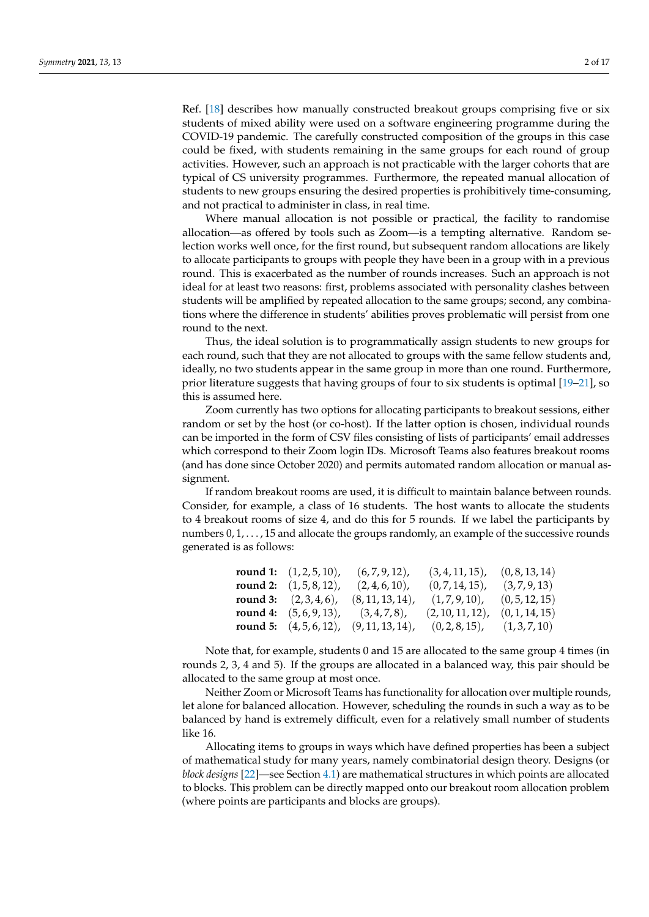Ref. [\[18\]](#page-14-16) describes how manually constructed breakout groups comprising five or six students of mixed ability were used on a software engineering programme during the COVID-19 pandemic. The carefully constructed composition of the groups in this case could be fixed, with students remaining in the same groups for each round of group activities. However, such an approach is not practicable with the larger cohorts that are typical of CS university programmes. Furthermore, the repeated manual allocation of students to new groups ensuring the desired properties is prohibitively time-consuming, and not practical to administer in class, in real time.

Where manual allocation is not possible or practical, the facility to randomise allocation—as offered by tools such as Zoom—is a tempting alternative. Random selection works well once, for the first round, but subsequent random allocations are likely to allocate participants to groups with people they have been in a group with in a previous round. This is exacerbated as the number of rounds increases. Such an approach is not ideal for at least two reasons: first, problems associated with personality clashes between students will be amplified by repeated allocation to the same groups; second, any combinations where the difference in students' abilities proves problematic will persist from one round to the next.

Thus, the ideal solution is to programmatically assign students to new groups for each round, such that they are not allocated to groups with the same fellow students and, ideally, no two students appear in the same group in more than one round. Furthermore, prior literature suggests that having groups of four to six students is optimal [\[19–](#page-14-17)[21\]](#page-14-18), so this is assumed here.

Zoom currently has two options for allocating participants to breakout sessions, either random or set by the host (or co-host). If the latter option is chosen, individual rounds can be imported in the form of CSV files consisting of lists of participants' email addresses which correspond to their Zoom login IDs. Microsoft Teams also features breakout rooms (and has done since October 2020) and permits automated random allocation or manual assignment.

If random breakout rooms are used, it is difficult to maintain balance between rounds. Consider, for example, a class of 16 students. The host wants to allocate the students to 4 breakout rooms of size 4, and do this for 5 rounds. If we label the participants by numbers  $0, 1, \ldots, 15$  and allocate the groups randomly, an example of the successive rounds generated is as follows:

| <b>round 1:</b> $(1, 2, 5, 10)$ , | $(6, 7, 9, 12)$ ,   | $(3, 4, 11, 15)$ , | (0, 8, 13, 14) |
|-----------------------------------|---------------------|--------------------|----------------|
| <b>round 2:</b> $(1, 5, 8, 12)$ , | $(2, 4, 6, 10)$ ,   | $(0, 7, 14, 15)$ , | (3,7,9,13)     |
| <b>round 3:</b> $(2,3,4,6)$ ,     | $(8, 11, 13, 14)$ , | (1,7,9,10),        | (0, 5, 12, 15) |
| <b>round 4:</b> $(5, 6, 9, 13)$ , | $(3,4,7,8)$ ,       | (2, 10, 11, 12)    | (0, 1, 14, 15) |
| <b>round 5:</b> $(4, 5, 6, 12)$ , | $(9, 11, 13, 14)$ , | $(0, 2, 8, 15)$ ,  | (1,3,7,10)     |

Note that, for example, students 0 and 15 are allocated to the same group 4 times (in rounds 2, 3, 4 and 5). If the groups are allocated in a balanced way, this pair should be allocated to the same group at most once.

Neither Zoom or Microsoft Teams has functionality for allocation over multiple rounds, let alone for balanced allocation. However, scheduling the rounds in such a way as to be balanced by hand is extremely difficult, even for a relatively small number of students like 16.

Allocating items to groups in ways which have defined properties has been a subject of mathematical study for many years, namely combinatorial design theory. Designs (or *block designs* [\[22\]](#page-14-19)—see Section [4.1\)](#page-4-0) are mathematical structures in which points are allocated to blocks. This problem can be directly mapped onto our breakout room allocation problem (where points are participants and blocks are groups).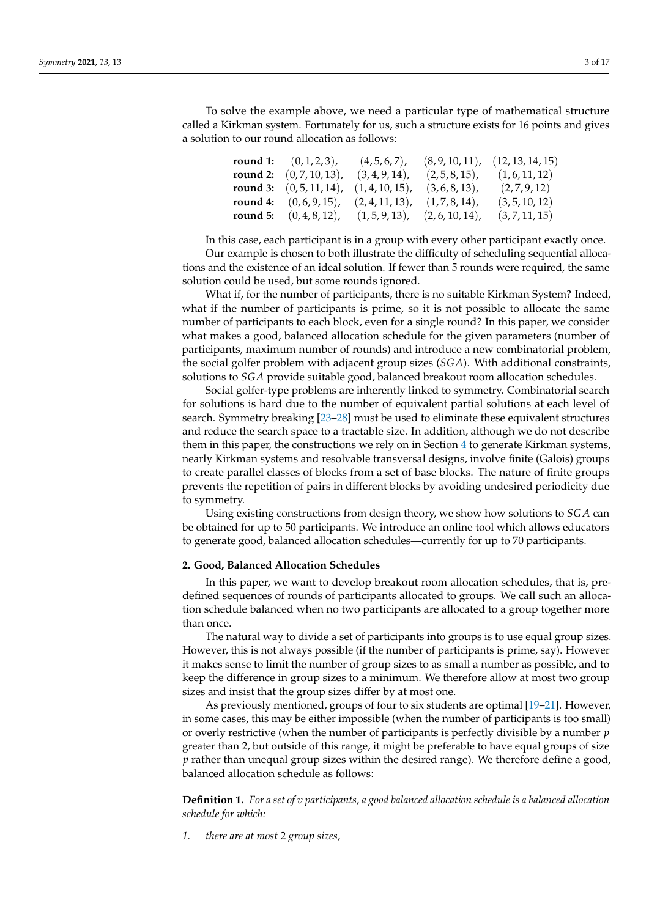To solve the example above, we need a particular type of mathematical structure called a Kirkman system. Fortunately for us, such a structure exists for 16 points and gives a solution to our round allocation as follows:

| <b>round 1:</b> $(0, 1, 2, 3)$ , | $(4,5,6,7)$ ,      |                    | (8, 9, 10, 11), (12, 13, 14, 15) |
|----------------------------------|--------------------|--------------------|----------------------------------|
| round 2: $(0, 7, 10, 13)$ ,      | $(3, 4, 9, 14)$ ,  | $(2, 5, 8, 15)$ ,  | (1, 6, 11, 12)                   |
| round 3: $(0, 5, 11, 14)$ ,      | $(1, 4, 10, 15)$ , | $(3, 6, 8, 13)$ ,  | (2,7,9,12)                       |
| round 4: $(0, 6, 9, 15)$ ,       | $(2, 4, 11, 13)$ , | $(1,7,8,14)$ ,     | (3, 5, 10, 12)                   |
| round 5: $(0, 4, 8, 12)$ ,       | $(1, 5, 9, 13)$ ,  | $(2, 6, 10, 14)$ , | (3, 7, 11, 15)                   |

In this case, each participant is in a group with every other participant exactly once.

Our example is chosen to both illustrate the difficulty of scheduling sequential allocations and the existence of an ideal solution. If fewer than 5 rounds were required, the same solution could be used, but some rounds ignored.

What if, for the number of participants, there is no suitable Kirkman System? Indeed, what if the number of participants is prime, so it is not possible to allocate the same number of participants to each block, even for a single round? In this paper, we consider what makes a good, balanced allocation schedule for the given parameters (number of participants, maximum number of rounds) and introduce a new combinatorial problem, the social golfer problem with adjacent group sizes (*SGA*). With additional constraints, solutions to *SGA* provide suitable good, balanced breakout room allocation schedules.

Social golfer-type problems are inherently linked to symmetry. Combinatorial search for solutions is hard due to the number of equivalent partial solutions at each level of search. Symmetry breaking [\[23–](#page-15-0)[28\]](#page-15-1) must be used to eliminate these equivalent structures and reduce the search space to a tractable size. In addition, although we do not describe them in this paper, the constructions we rely on in Section [4](#page-4-1) to generate Kirkman systems, nearly Kirkman systems and resolvable transversal designs, involve finite (Galois) groups to create parallel classes of blocks from a set of base blocks. The nature of finite groups prevents the repetition of pairs in different blocks by avoiding undesired periodicity due to symmetry.

Using existing constructions from design theory, we show how solutions to *SGA* can be obtained for up to 50 participants. We introduce an online tool which allows educators to generate good, balanced allocation schedules—currently for up to 70 participants.

## **2. Good, Balanced Allocation Schedules**

In this paper, we want to develop breakout room allocation schedules, that is, predefined sequences of rounds of participants allocated to groups. We call such an allocation schedule balanced when no two participants are allocated to a group together more than once.

The natural way to divide a set of participants into groups is to use equal group sizes. However, this is not always possible (if the number of participants is prime, say). However it makes sense to limit the number of group sizes to as small a number as possible, and to keep the difference in group sizes to a minimum. We therefore allow at most two group sizes and insist that the group sizes differ by at most one.

As previously mentioned, groups of four to six students are optimal [\[19–](#page-14-17)[21\]](#page-14-18). However, in some cases, this may be either impossible (when the number of participants is too small) or overly restrictive (when the number of participants is perfectly divisible by a number *p* greater than 2, but outside of this range, it might be preferable to have equal groups of size *p* rather than unequal group sizes within the desired range). We therefore define a good, balanced allocation schedule as follows:

<span id="page-2-0"></span>**Definition 1.** *For a set of v participants, a good balanced allocation schedule is a balanced allocation schedule for which:*

*1. there are at most* 2 *group sizes,*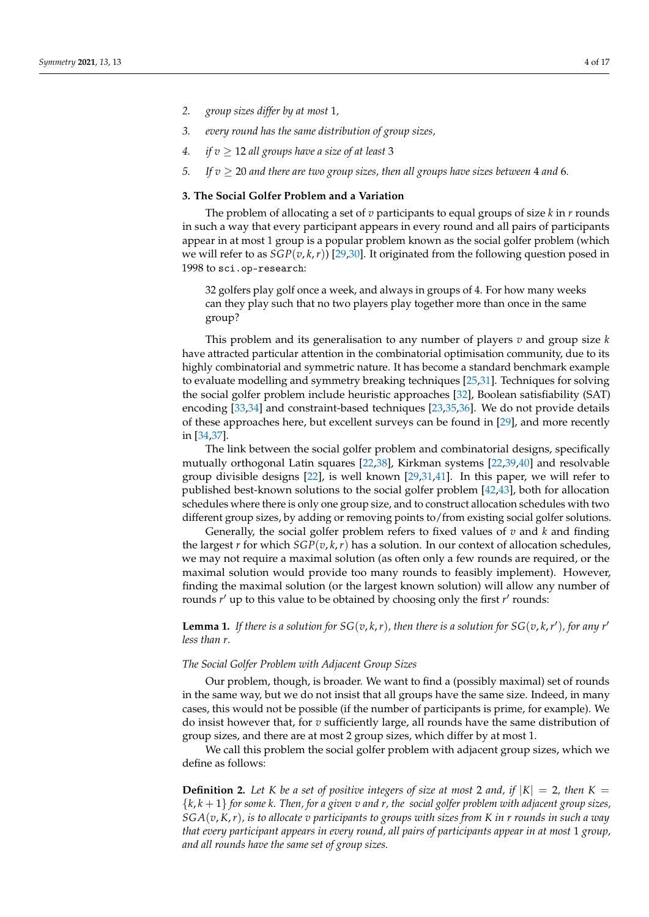- *2. group sizes differ by at most* 1*,*
- *3. every round has the same distribution of group sizes,*
- *4. if*  $v \ge 12$  *all groups have a size of at least* 3
- *5.* If  $v \ge 20$  and there are two group sizes, then all groups have sizes between 4 and 6.

# **3. The Social Golfer Problem and a Variation**

The problem of allocating a set of  $v$  participants to equal groups of size  $k$  in  $r$  rounds in such a way that every participant appears in every round and all pairs of participants appear in at most 1 group is a popular problem known as the social golfer problem (which we will refer to as *SGP*(*v*, *k*,*r*)) [\[29,](#page-15-2)[30\]](#page-15-3). It originated from the following question posed in 1998 to sci.op-research:

32 golfers play golf once a week, and always in groups of 4. For how many weeks can they play such that no two players play together more than once in the same group?

This problem and its generalisation to any number of players *v* and group size *k* have attracted particular attention in the combinatorial optimisation community, due to its highly combinatorial and symmetric nature. It has become a standard benchmark example to evaluate modelling and symmetry breaking techniques [\[25](#page-15-4)[,31\]](#page-15-5). Techniques for solving the social golfer problem include heuristic approaches [\[32\]](#page-15-6), Boolean satisfiability (SAT) encoding [\[33,](#page-15-7)[34\]](#page-15-8) and constraint-based techniques [\[23](#page-15-0)[,35](#page-15-9)[,36\]](#page-15-10). We do not provide details of these approaches here, but excellent surveys can be found in [\[29\]](#page-15-2), and more recently in [\[34,](#page-15-8)[37\]](#page-15-11).

The link between the social golfer problem and combinatorial designs, specifically mutually orthogonal Latin squares [\[22](#page-14-19)[,38\]](#page-15-12), Kirkman systems [\[22,](#page-14-19)[39](#page-15-13)[,40\]](#page-15-14) and resolvable group divisible designs [\[22\]](#page-14-19), is well known [\[29](#page-15-2)[,31](#page-15-5)[,41\]](#page-15-15). In this paper, we will refer to published best-known solutions to the social golfer problem [\[42](#page-15-16)[,43\]](#page-15-17), both for allocation schedules where there is only one group size, and to construct allocation schedules with two different group sizes, by adding or removing points to/from existing social golfer solutions.

Generally, the social golfer problem refers to fixed values of *v* and *k* and finding the largest *r* for which  $SGP(v, k, r)$  has a solution. In our context of allocation schedules, we may not require a maximal solution (as often only a few rounds are required, or the maximal solution would provide too many rounds to feasibly implement). However, finding the maximal solution (or the largest known solution) will allow any number of rounds *r'* up to this value to be obtained by choosing only the first *r'* rounds:

**Lemma 1.** If there is a solution for  $SG(v, k, r)$ , then there is a solution for  $SG(v, k, r')$ , for any r' *less than r.*

#### *The Social Golfer Problem with Adjacent Group Sizes*

Our problem, though, is broader. We want to find a (possibly maximal) set of rounds in the same way, but we do not insist that all groups have the same size. Indeed, in many cases, this would not be possible (if the number of participants is prime, for example). We do insist however that, for *v* sufficiently large, all rounds have the same distribution of group sizes, and there are at most 2 group sizes, which differ by at most 1.

We call this problem the social golfer problem with adjacent group sizes, which we define as follows:

**Definition 2.** Let *K* be a set of positive integers of size at most 2 and, if  $|K| = 2$ , then  $K =$ {*k*, *k* + 1} *for some k. Then, for a given v and r, the social golfer problem with adjacent group sizes, SGA*(*v*, *K*,*r*)*, is to allocate v participants to groups with sizes from K in r rounds in such a way that every participant appears in every round, all pairs of participants appear in at most* 1 *group, and all rounds have the same set of group sizes.*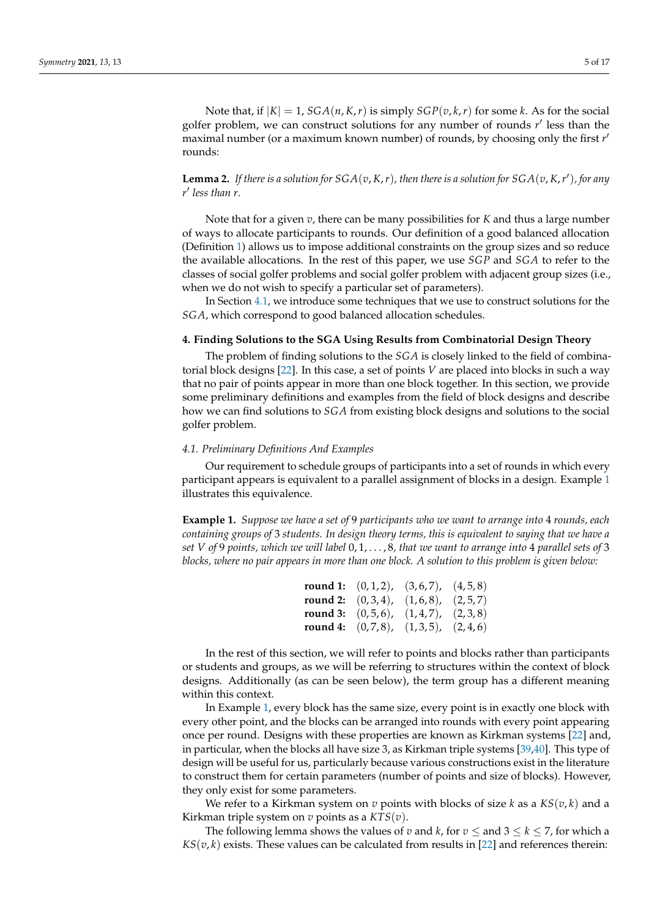Note that, if  $|K| = 1$ ,  $SGA(n, K, r)$  is simply  $SGP(v, k, r)$  for some *k*. As for the social golfer problem, we can construct solutions for any number of rounds r' less than the maximal number (or a maximum known number) of rounds, by choosing only the first *r*<sup>1</sup> rounds:

**Lemma 2.** If there is a solution for  $SGA(v, K, r)$ , then there is a solution for  $SGA(v, K, r')$ , for any *r* 0 *less than r.*

Note that for a given *v*, there can be many possibilities for *K* and thus a large number of ways to allocate participants to rounds. Our definition of a good balanced allocation (Definition [1\)](#page-2-0) allows us to impose additional constraints on the group sizes and so reduce the available allocations. In the rest of this paper, we use *SGP* and *SGA* to refer to the classes of social golfer problems and social golfer problem with adjacent group sizes (i.e., when we do not wish to specify a particular set of parameters).

In Section [4.1,](#page-4-0) we introduce some techniques that we use to construct solutions for the *SGA*, which correspond to good balanced allocation schedules.

## <span id="page-4-1"></span>**4. Finding Solutions to the SGA Using Results from Combinatorial Design Theory**

The problem of finding solutions to the *SGA* is closely linked to the field of combinatorial block designs [\[22\]](#page-14-19). In this case, a set of points *V* are placed into blocks in such a way that no pair of points appear in more than one block together. In this section, we provide some preliminary definitions and examples from the field of block designs and describe how we can find solutions to *SGA* from existing block designs and solutions to the social golfer problem.

#### <span id="page-4-0"></span>*4.1. Preliminary Definitions And Examples*

Our requirement to schedule groups of participants into a set of rounds in which every participant appears is equivalent to a parallel assignment of blocks in a design. Example [1](#page-4-2) illustrates this equivalence.

<span id="page-4-2"></span>**Example 1.** *Suppose we have a set of* 9 *participants who we want to arrange into* 4 *rounds, each containing groups of* 3 *students. In design theory terms, this is equivalent to saying that we have a set V of* 9 *points, which we will label* 0, 1, . . . , 8*, that we want to arrange into* 4 *parallel sets of* 3 *blocks, where no pair appears in more than one block. A solution to this problem is given below:*

|  | <b>round 1:</b> $(0,1,2)$ , $(3,6,7)$ , $(4,5,8)$ |  |
|--|---------------------------------------------------|--|
|  | <b>round 2:</b> $(0,3,4)$ , $(1,6,8)$ , $(2,5,7)$ |  |
|  | <b>round 3:</b> $(0,5,6)$ , $(1,4,7)$ , $(2,3,8)$ |  |
|  | <b>round 4:</b> $(0,7,8)$ , $(1,3,5)$ , $(2,4,6)$ |  |

In the rest of this section, we will refer to points and blocks rather than participants or students and groups, as we will be referring to structures within the context of block designs. Additionally (as can be seen below), the term group has a different meaning within this context.

In Example [1,](#page-4-2) every block has the same size, every point is in exactly one block with every other point, and the blocks can be arranged into rounds with every point appearing once per round. Designs with these properties are known as Kirkman systems [\[22\]](#page-14-19) and, in particular, when the blocks all have size 3, as Kirkman triple systems [\[39](#page-15-13)[,40\]](#page-15-14). This type of design will be useful for us, particularly because various constructions exist in the literature to construct them for certain parameters (number of points and size of blocks). However, they only exist for some parameters.

We refer to a Kirkman system on  $v$  points with blocks of size  $k$  as a  $KS(v, k)$  and a Kirkman triple system on *v* points as a *KTS*(*v*).

The following lemma shows the values of *v* and *k*, for  $v \le$  and  $3 \le k \le 7$ , for which a  $KS(v, k)$  exists. These values can be calculated from results in [\[22\]](#page-14-19) and references therein: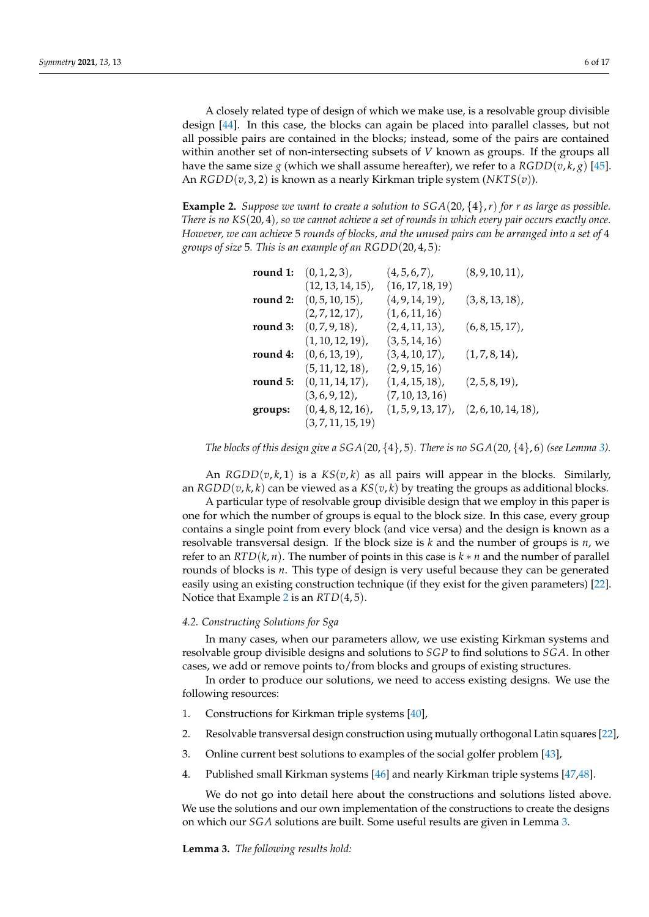A closely related type of design of which we make use, is a resolvable group divisible design [\[44\]](#page-15-18). In this case, the blocks can again be placed into parallel classes, but not all possible pairs are contained in the blocks; instead, some of the pairs are contained within another set of non-intersecting subsets of *V* known as groups. If the groups all have the same size *g* (which we shall assume hereafter), we refer to a  $RGDD(v, k, g)$  [\[45\]](#page-15-19). An *RGDD*(*v*, 3, 2) is known as a nearly Kirkman triple system (*NKTS*(*v*)).

<span id="page-5-1"></span>**Example 2.** *Suppose we want to create a solution to SGA*(20, {4},*r*) *for r as large as possible. There is no KS*(20, 4)*, so we cannot achieve a set of rounds in which every pair occurs exactly once. However, we can achieve* 5 *rounds of blocks, and the unused pairs can be arranged into a set of* 4 *groups of size* 5*. This is an example of an RGDD*(20, 4, 5)*:*

| round 1: | $(0, 1, 2, 3)$ ,      | $(4, 5, 6, 7)$ ,      | $(8, 9, 10, 11)$ , |
|----------|-----------------------|-----------------------|--------------------|
|          | $(12, 13, 14, 15)$ ,  | (16, 17, 18, 19)      |                    |
| round 2: | $(0, 5, 10, 15)$ ,    | $(4, 9, 14, 19)$ ,    | $(3, 8, 13, 18)$ , |
|          | $(2, 7, 12, 17)$ ,    | (1, 6, 11, 16)        |                    |
| round 3: | $(0, 7, 9, 18)$ ,     | $(2, 4, 11, 13)$ ,    | $(6, 8, 15, 17)$ , |
|          | $(1, 10, 12, 19)$ ,   | (3, 5, 14, 16)        |                    |
| round 4: | $(0, 6, 13, 19)$ ,    | $(3, 4, 10, 17)$ ,    | $(1,7,8,14)$ ,     |
|          | (5, 11, 12, 18)       | (2, 9, 15, 16)        |                    |
| round 5: | $(0, 11, 14, 17)$ ,   | $(1, 4, 15, 18)$ ,    | $(2, 5, 8, 19)$ ,  |
|          | $(3, 6, 9, 12)$ ,     | (7, 10, 13, 16)       |                    |
| groups:  | $(0, 4, 8, 12, 16)$ , | $(1, 5, 9, 13, 17)$ , | (2, 6, 10, 14, 18) |
|          | (3, 7, 11, 15, 19)    |                       |                    |

*The blocks of this design give a*  $SGA(20, {4}, 5)$ *. There is no*  $SGA(20, {4}, 6)$  *(see Lemma [3\)](#page-5-0).* 

An  $RGDD(v, k, 1)$  is a  $KS(v, k)$  as all pairs will appear in the blocks. Similarly, an *RGDD*( $v, k, k$ ) can be viewed as a *KS*( $v, k$ ) by treating the groups as additional blocks.

A particular type of resolvable group divisible design that we employ in this paper is one for which the number of groups is equal to the block size. In this case, every group contains a single point from every block (and vice versa) and the design is known as a resolvable transversal design. If the block size is *k* and the number of groups is *n*, we refer to an *RTD*( $k$ ,  $n$ ). The number of points in this case is  $k * n$  and the number of parallel rounds of blocks is *n*. This type of design is very useful because they can be generated easily using an existing construction technique (if they exist for the given parameters) [\[22\]](#page-14-19). Notice that Example [2](#page-5-1) is an *RTD*(4, 5).

#### *4.2. Constructing Solutions for Sga*

In many cases, when our parameters allow, we use existing Kirkman systems and resolvable group divisible designs and solutions to *SGP* to find solutions to *SGA*. In other cases, we add or remove points to/from blocks and groups of existing structures.

In order to produce our solutions, we need to access existing designs. We use the following resources:

- 1. Constructions for Kirkman triple systems [\[40\]](#page-15-14),
- 2. Resolvable transversal design construction using mutually orthogonal Latin squares [\[22\]](#page-14-19),
- 3. Online current best solutions to examples of the social golfer problem [\[43\]](#page-15-17),
- 4. Published small Kirkman systems [\[46\]](#page-15-20) and nearly Kirkman triple systems [\[47](#page-15-21)[,48\]](#page-15-22).

We do not go into detail here about the constructions and solutions listed above. We use the solutions and our own implementation of the constructions to create the designs on which our *SGA* solutions are built. Some useful results are given in Lemma [3.](#page-5-0)

<span id="page-5-0"></span>**Lemma 3.** *The following results hold:*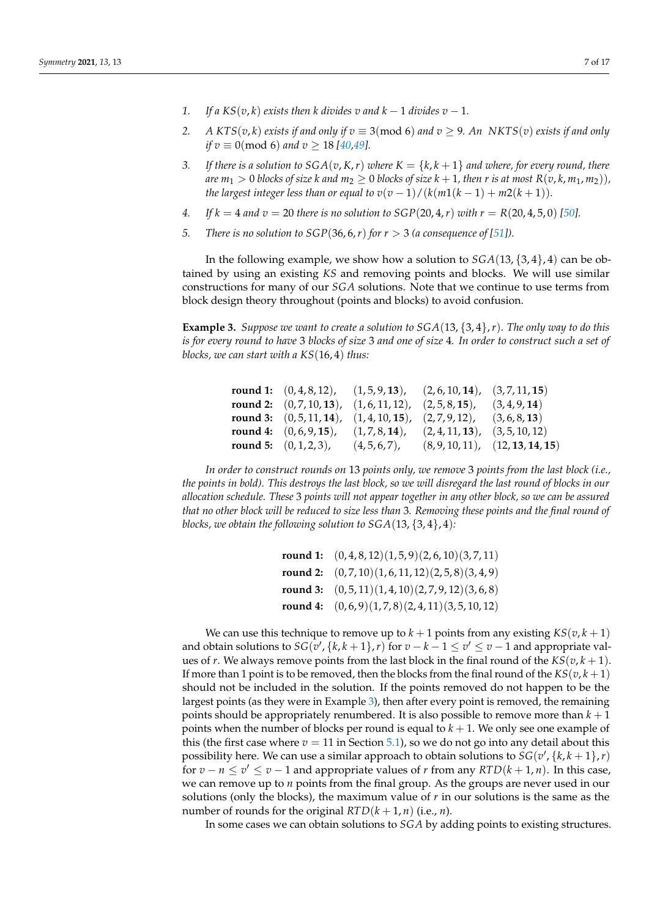- 
- *1. If a*  $KS(v, k)$  *exists then k divides v and k − 1 divides v − 1.*
- 2. *A*  $KTS(v, k)$  *exists if and only if*  $v \equiv 3 \pmod{6}$  *and*  $v \ge 9$ *. An NKTS*(*v*) *exists if and only if*  $v \equiv 0 \pmod{6}$  *and*  $v \ge 18 \pmod{49}$ .
- *3.* If there is a solution to  $SGA(v, K, r)$  where  $K = \{k, k+1\}$  and where, for every round, there *are*  $m_1 > 0$  *blocks of size k and*  $m_2 \geq 0$  *blocks of size*  $k + 1$ *, then r is at most*  $R(v, k, m_1, m_2)$ *)*, *the largest integer less than or equal to*  $v(v-1)/(k(m1(k-1) + m2(k+1))$ *.*
- *4. If*  $k = 4$  *and*  $v = 20$  *there is no solution to*  $SGP(20, 4, r)$  *with*  $r = R(20, 4, 5, 0)$  [\[50\]](#page-15-24).
- *5. There is no solution to*  $SGP(36, 6, r)$  *for*  $r > 3$  *(a consequence of [\[51\]](#page-15-25)).*

In the following example, we show how a solution to *SGA*(13, {3, 4}, 4) can be obtained by using an existing *KS* and removing points and blocks. We will use similar constructions for many of our *SGA* solutions. Note that we continue to use terms from block design theory throughout (points and blocks) to avoid confusion.

<span id="page-6-0"></span>**Example 3.** *Suppose we want to create a solution to SGA*(13, {3, 4},*r*)*. The only way to do this is for every round to have* 3 *blocks of size* 3 *and one of size* 4*. In order to construct such a set of blocks, we can start with a KS*(16, 4) *thus:*

|                                  |                  | $(2, 5, 8, 15)$ ,                               | (3, 4, 9, 14)                                                                                                                                   |
|----------------------------------|------------------|-------------------------------------------------|-------------------------------------------------------------------------------------------------------------------------------------------------|
|                                  |                  |                                                 | (3,6,8,13)                                                                                                                                      |
| round 4: $(0, 6, 9, 15)$ ,       | $(1,7,8,14)$ ,   | $(2, 4, 11, 13)$ ,                              | (3, 5, 10, 12)                                                                                                                                  |
| <b>round 5:</b> $(0, 1, 2, 3)$ , | $(4, 5, 6, 7)$ , |                                                 | (8, 9, 10, 11), (12, 13, 14, 15)                                                                                                                |
|                                  |                  | <b>round 2:</b> $(0,7,10,13)$ , $(1,6,11,12)$ , | round 1: $(0,4,8,12)$ , $(1,5,9,13)$ , $(2,6,10,14)$ , $(3,7,11,15)$<br><b>round 3:</b> $(0, 5, 11, 14)$ , $(1, 4, 10, 15)$ , $(2, 7, 9, 12)$ , |

*In order to construct rounds on* 13 *points only, we remove* 3 *points from the last block (i.e., the points in bold). This destroys the last block, so we will disregard the last round of blocks in our allocation schedule. These* 3 *points will not appear together in any other block, so we can be assured that no other block will be reduced to size less than* 3*. Removing these points and the final round of blocks, we obtain the following solution to SGA*(13, {3, 4}, 4)*:*

| <b>round 1:</b> $(0,4,8,12)(1,5,9)(2,6,10)(3,7,11)$ |
|-----------------------------------------------------|
| round 2: $(0,7,10)(1,6,11,12)(2,5,8)(3,4,9)$        |
| round 3: $(0,5,11)(1,4,10)(2,7,9,12)(3,6,8)$        |
| round 4: $(0,6,9)(1,7,8)(2,4,11)(3,5,10,12)$        |

We can use this technique to remove up to  $k + 1$  points from any existing  $KS(v, k + 1)$ and obtain solutions to  $SG(\overline{v}', \{k, k+1\}, r)$  for  $\overline{v} - k - 1 \leq \overline{v}' \leq \overline{v} - 1$  and appropriate values of *r*. We always remove points from the last block in the final round of the  $KS(v, k + 1)$ . If more than 1 point is to be removed, then the blocks from the final round of the  $KS(v, k+1)$ should not be included in the solution. If the points removed do not happen to be the largest points (as they were in Example [3\)](#page-6-0), then after every point is removed, the remaining points should be appropriately renumbered. It is also possible to remove more than  $k + 1$ points when the number of blocks per round is equal to  $k + 1$ . We only see one example of this (the first case where  $v = 11$  in Section [5.1\)](#page-12-0), so we do not go into any detail about this possibility here. We can use a similar approach to obtain solutions to  $SG(v', \{k, k+1\}, r)$ for  $v - n \le v' \le v - 1$  and appropriate values of *r* from any  $RTD(k + 1, n)$ . In this case, we can remove up to *n* points from the final group. As the groups are never used in our solutions (only the blocks), the maximum value of  $r$  in our solutions is the same as the number of rounds for the original  $RTD(k+1, n)$  (i.e., *n*).

In some cases we can obtain solutions to *SGA* by adding points to existing structures.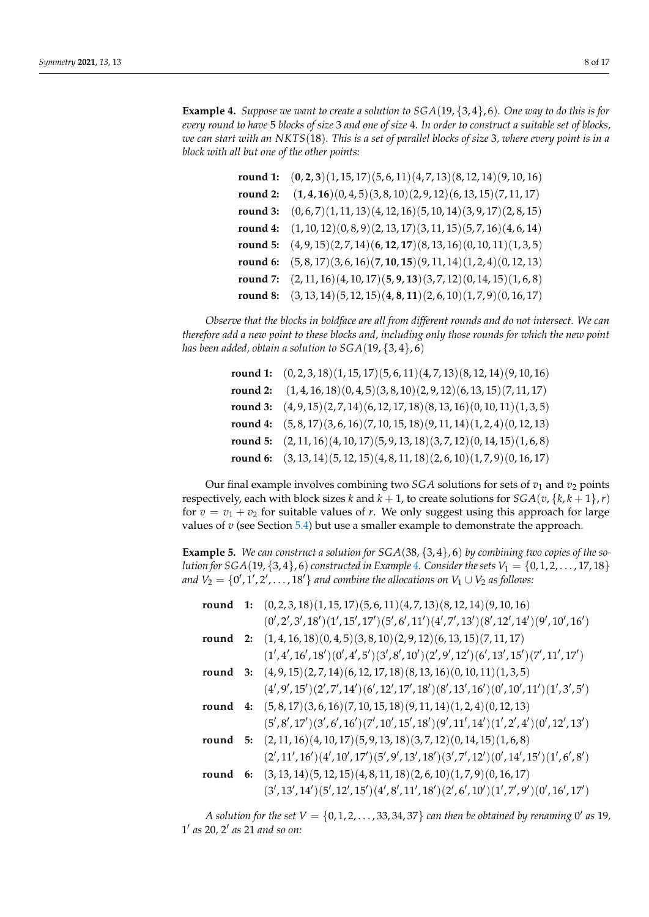<span id="page-7-0"></span>**Example 4.** *Suppose we want to create a solution to SGA*(19, {3, 4}, 6)*. One way to do this is for every round to have* 5 *blocks of size* 3 *and one of size* 4*. In order to construct a suitable set of blocks, we can start with an NKTS*(18)*. This is a set of parallel blocks of size* 3*, where every point is in a block with all but one of the other points:*

|          | round 1: $(0,2,3)(1,15,17)(5,6,11)(4,7,13)(8,12,14)(9,10,16)$             |
|----------|---------------------------------------------------------------------------|
| round 2: | $(1, 4, 16)(0, 4, 5)(3, 8, 10)(2, 9, 12)(6, 13, 15)(7, 11, 17)$           |
| round 3: | $(0,6,7)(1,11,13)(4,12,16)(5,10,14)(3,9,17)(2,8,15)$                      |
| round 4: | $(1, 10, 12)(0, 8, 9)(2, 13, 17)(3, 11, 15)(5, 7, 16)(4, 6, 14)$          |
|          | round 5: $(4, 9, 15)(2, 7, 14)(6, 12, 17)(8, 13, 16)(0, 10, 11)(1, 3, 5)$ |
|          | round 6: $(5, 8, 17)(3, 6, 16)(7, 10, 15)(9, 11, 14)(1, 2, 4)(0, 12, 13)$ |
|          | round 7: $(2, 11, 16)(4, 10, 17)(5, 9, 13)(3, 7, 12)(0, 14, 15)(1, 6, 8)$ |
|          | round 8: $(3, 13, 14)(5, 12, 15)(4, 8, 11)(2, 6, 10)(1, 7, 9)(0, 16, 17)$ |

*Observe that the blocks in boldface are all from different rounds and do not intersect. We can therefore add a new point to these blocks and, including only those rounds for which the new point has been added, obtain a solution to SGA*(19, {3, 4}, 6)

| round 1: $(0, 2, 3, 18)(1, 15, 17)(5, 6, 11)(4, 7, 13)(8, 12, 14)(9, 10, 16)$ |
|-------------------------------------------------------------------------------|
| round 2: $(1, 4, 16, 18)(0, 4, 5)(3, 8, 10)(2, 9, 12)(6, 13, 15)(7, 11, 17)$  |
| round 3: $(4, 9, 15)(2, 7, 14)(6, 12, 17, 18)(8, 13, 16)(0, 10, 11)(1, 3, 5)$ |
| round 4: $(5, 8, 17)(3, 6, 16)(7, 10, 15, 18)(9, 11, 14)(1, 2, 4)(0, 12, 13)$ |
| round 5: $(2, 11, 16)(4, 10, 17)(5, 9, 13, 18)(3, 7, 12)(0, 14, 15)(1, 6, 8)$ |
| round 6: $(3, 13, 14)(5, 12, 15)(4, 8, 11, 18)(2, 6, 10)(1, 7, 9)(0, 16, 17)$ |

Our final example involves combining two *SGA* solutions for sets of  $v_1$  and  $v_2$  points respectively, each with block sizes *k* and  $k + 1$ , to create solutions for  $SGA(v, \{k, k + 1\}, r)$ for  $v = v_1 + v_2$  for suitable values of *r*. We only suggest using this approach for large values of  $v$  (see Section  $5.4$ ) but use a smaller example to demonstrate the approach.

<span id="page-7-1"></span>**Example 5.** *We can construct a solution for SGA*(38, {3, 4}, 6) *by combining two copies of the solution for*  $SGA(19, {3,4}, 6)$  *constructed in Example* [4.](#page-7-0) *Consider the sets*  $V_1 = {0, 1, 2, ..., 17, 18}$ *and*  $V_2 = \{0', 1', 2', \ldots, 18'\}$  *and combine the allocations on*  $V_1 \cup V_2$  *as follows:* 

|  | round 1: $(0, 2, 3, 18)(1, 15, 17)(5, 6, 11)(4, 7, 13)(8, 12, 14)(9, 10, 16)$                          |
|--|--------------------------------------------------------------------------------------------------------|
|  | $(0', 2', 3', 18') (1', 15', 17') (5', 6', 11') (4', 7', 13') (8', 12', 14') (9', 10', 16')$           |
|  | round 2: $(1,4,16,18)(0,4,5)(3,8,10)(2,9,12)(6,13,15)(7,11,17)$                                        |
|  | $(1', 4', 16', 18') (0', 4', 5') (3', 8', 10') (2', 9', 12') (6', 13', 15') (7', 11', 17')$            |
|  | round 3: $(4, 9, 15)(2, 7, 14)(6, 12, 17, 18)(8, 13, 16)(0, 10, 11)(1, 3, 5)$                          |
|  | $(4', 9', 15')(2', 7', 14')(6', 12', 17', 18')(8', 13', 16')(0', 10', 11')(1', 3', 5')$                |
|  | round 4: $(5, 8, 17)(3, 6, 16)(7, 10, 15, 18)(9, 11, 14)(1, 2, 4)(0, 12, 13)$                          |
|  | $(5', 8', 17')(3', 6', 16')(7', 10', 15', 18')(9', 11', 14')(1', 2', 4')(0', 12', 13')$                |
|  | round 5: $(2, 11, 16)(4, 10, 17)(5, 9, 13, 18)(3, 7, 12)(0, 14, 15)(1, 6, 8)$                          |
|  | $(2', 11', 16')$ $(4', 10', 17')$ $(5', 9', 13', 18')$ $(3', 7', 12')$ $(0', 14', 15')$ $(1', 6', 8')$ |
|  | round 6: $(3, 13, 14)(5, 12, 15)(4, 8, 11, 18)(2, 6, 10)(1, 7, 9)(0, 16, 17)$                          |
|  | $(3', 13', 14')(5', 12', 15')(4', 8', 11', 18')(2', 6', 10')(1', 7', 9')(0', 16', 17')$                |

*A solution for the set*  $V = \{0, 1, 2, \ldots, 33, 34, 37\}$  can then be obtained by renaming  $0'$  as  $19$ , 1 0 *as* 20*,* 2 0 *as* 21 *and so on:*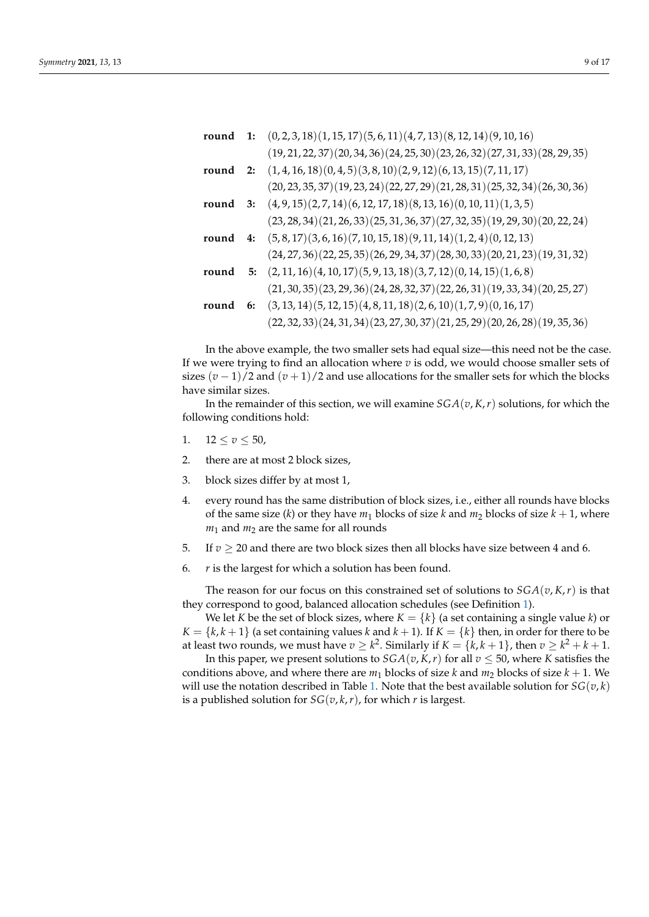|       | round 1: $(0, 2, 3, 18)(1, 15, 17)(5, 6, 11)(4, 7, 13)(8, 12, 14)(9, 10, 16)$  |
|-------|--------------------------------------------------------------------------------|
|       | $(19, 21, 22, 37)(20, 34, 36)(24, 25, 30)(23, 26, 32)(27, 31, 33)(28, 29, 35)$ |
|       | round 2: $(1,4,16,18)(0,4,5)(3,8,10)(2,9,12)(6,13,15)(7,11,17)$                |
|       | $(20, 23, 35, 37)(19, 23, 24)(22, 27, 29)(21, 28, 31)(25, 32, 34)(26, 30, 36)$ |
|       | round 3: $(4, 9, 15)(2, 7, 14)(6, 12, 17, 18)(8, 13, 16)(0, 10, 11)(1, 3, 5)$  |
|       | $(23, 28, 34)(21, 26, 33)(25, 31, 36, 37)(27, 32, 35)(19, 29, 30)(20, 22, 24)$ |
| round | 4: $(5, 8, 17)(3, 6, 16)(7, 10, 15, 18)(9, 11, 14)(1, 2, 4)(0, 12, 13)$        |
|       | $(24, 27, 36)(22, 25, 35)(26, 29, 34, 37)(28, 30, 33)(20, 21, 23)(19, 31, 32)$ |
| round | 5: $(2, 11, 16)(4, 10, 17)(5, 9, 13, 18)(3, 7, 12)(0, 14, 15)(1, 6, 8)$        |
|       | $(21, 30, 35)(23, 29, 36)(24, 28, 32, 37)(22, 26, 31)(19, 33, 34)(20, 25, 27)$ |
| round | 6: $(3, 13, 14)(5, 12, 15)(4, 8, 11, 18)(2, 6, 10)(1, 7, 9)(0, 16, 17)$        |
|       | $(22, 32, 33)(24, 31, 34)(23, 27, 30, 37)(21, 25, 29)(20, 26, 28)(19, 35, 36)$ |

In the above example, the two smaller sets had equal size—this need not be the case. If we were trying to find an allocation where  $v$  is odd, we would choose smaller sets of sizes  $(v-1)/2$  and  $(v+1)/2$  and use allocations for the smaller sets for which the blocks have similar sizes.

In the remainder of this section, we will examine  $SGA(v, K, r)$  solutions, for which the following conditions hold:

- 1.  $12 \le v \le 50$ ,
- 2. there are at most 2 block sizes,
- 3. block sizes differ by at most 1,
- 4. every round has the same distribution of block sizes, i.e., either all rounds have blocks of the same size (*k*) or they have  $m_1$  blocks of size *k* and  $m_2$  blocks of size  $k + 1$ , where  $m_1$  and  $m_2$  are the same for all rounds
- 5. If  $v \ge 20$  and there are two block sizes then all blocks have size between 4 and 6.
- 6. *r* is the largest for which a solution has been found.

The reason for our focus on this constrained set of solutions to  $SGA(v, K, r)$  is that they correspond to good, balanced allocation schedules (see Definition [1\)](#page-2-0).

We let *K* be the set of block sizes, where  $K = \{k\}$  (a set containing a single value *k*) or  $K = \{k, k+1\}$  (a set containing values *k* and  $k+1$ ). If  $K = \{k\}$  then, in order for there to be at least two rounds, we must have  $v \geq k^2$ . Similarly if  $K = \{k, k+1\}$ , then  $v \geq k^2 + k + 1$ .

In this paper, we present solutions to  $SGA(v, K, r)$  for all  $v \le 50$ , where *K* satisfies the conditions above, and where there are  $m_1$  blocks of size  $k$  and  $m_2$  blocks of size  $k + 1$ . We will use the notation described in Table [1.](#page-9-0) Note that the best available solution for  $SG(v, k)$ is a published solution for  $SG(v, k, r)$ , for which *r* is largest.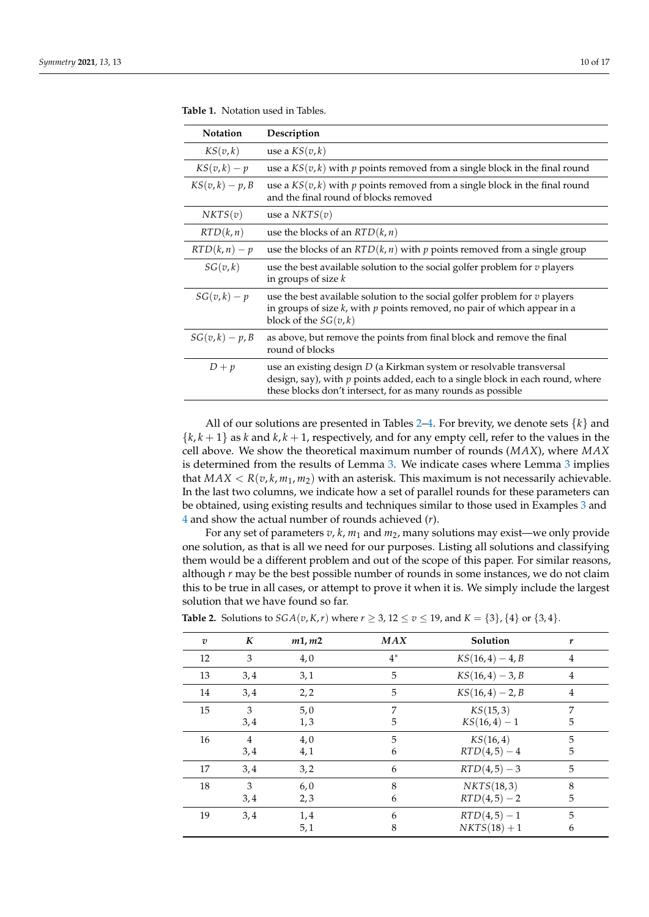| ∸ | ັ | ۰ |
|---|---|---|
|   |   |   |
|   |   |   |
|   |   |   |
|   |   |   |

| <b>Notation</b>   | Description                                                                                                                                                                                                              |
|-------------------|--------------------------------------------------------------------------------------------------------------------------------------------------------------------------------------------------------------------------|
| KS(v,k)           | use a $KS(v, k)$                                                                                                                                                                                                         |
| $KS(v,k) - p$     | use a $KS(v, k)$ with p points removed from a single block in the final round                                                                                                                                            |
| $KS(v,k) - p, B$  | use a $KS(v, k)$ with p points removed from a single block in the final round<br>and the final round of blocks removed                                                                                                   |
| NKTS(v)           | use a $NKTS(v)$                                                                                                                                                                                                          |
| RTD(k, n)         | use the blocks of an $RTD(k, n)$                                                                                                                                                                                         |
| $RTD(k, n) - p$   | use the blocks of an $RTD(k, n)$ with p points removed from a single group                                                                                                                                               |
| SG(v,k)           | use the best available solution to the social golfer problem for $v$ players<br>in groups of size $k$                                                                                                                    |
| $SG(v,k) - p$     | use the best available solution to the social golfer problem for $v$ players<br>in groups of size $k$ , with $p$ points removed, no pair of which appear in a<br>block of the $SG(v, k)$                                 |
| $SG(v, k) - p, B$ | as above, but remove the points from final block and remove the final<br>round of blocks                                                                                                                                 |
| $D + p$           | use an existing design D (a Kirkman system or resolvable transversal<br>design, say), with $p$ points added, each to a single block in each round, where<br>these blocks don't intersect, for as many rounds as possible |

<span id="page-9-0"></span>**Table 1.** Notation used in Tables.

All of our solutions are presented in Tables [2](#page-9-1)[–4.](#page-11-0) For brevity, we denote sets  $\{k\}$  and  ${k, k+1}$  as *k* and *k*, *k* + 1, respectively, and for any empty cell, refer to the values in the cell above. We show the theoretical maximum number of rounds (*MAX*), where *MAX* is determined from the results of Lemma [3.](#page-5-0) We indicate cases where Lemma [3](#page-5-0) implies that  $MAX < R(v, k, m_1, m_2)$  with an asterisk. This maximum is not necessarily achievable. In the last two columns, we indicate how a set of parallel rounds for these parameters can be obtained, using existing results and techniques similar to those used in Examples [3](#page-6-0) and [4](#page-7-0) and show the actual number of rounds achieved (*r*).

For any set of parameters *v*, *k*, *m*<sup>1</sup> and *m*2, many solutions may exist—we only provide one solution, as that is all we need for our purposes. Listing all solutions and classifying them would be a different problem and out of the scope of this paper. For similar reasons, although *r* may be the best possible number of rounds in some instances, we do not claim this to be true in all cases, or attempt to prove it when it is. We simply include the largest solution that we have found so far.

| $\overline{v}$ | K              | m1, m2 | <b>MAX</b> | Solution           | r              |  |
|----------------|----------------|--------|------------|--------------------|----------------|--|
| 12             | 3              | 4,0    | $4^*$      | $KS(16, 4) - 4, B$ | 4              |  |
| 13             | 3,4            | 3,1    | 5          | $KS(16, 4) - 3, B$ | $\overline{4}$ |  |
| 14             | 3,4            | 2, 2   | 5          | $KS(16, 4) - 2, B$ | $\overline{4}$ |  |
| 15             | 3              | 5,0    | 7          | KS(15,3)           | 7              |  |
|                | 3,4            | 1,3    | 5          | $KS(16, 4) - 1$    | 5              |  |
| 16             | $\overline{4}$ | 4,0    | 5          | KS(16, 4)          | 5              |  |
|                | 3,4            | 4,1    | 6          | $RTD(4,5) - 4$     | 5              |  |
| 17             | 3,4            | 3,2    | 6          | $RTD(4,5) - 3$     | 5              |  |
| 18             | 3              | 6,0    | 8          | NKTS(18,3)         | 8              |  |
|                | 3,4            | 2,3    | 6          | $RTD(4,5) - 2$     | 5              |  |
| 19             | 3,4            | 1,4    | 6          | $RTD(4,5) - 1$     | 5              |  |
|                |                | 5,1    | 8          | $NKTS(18) + 1$     | 6              |  |
|                |                |        |            |                    |                |  |

<span id="page-9-1"></span>**Table 2.** Solutions to *SGA*(*v*, *K*, *r*) where *r* ≥ 3, 12 ≤ *v* ≤ 19, and *K* = {3}, {4} or {3, 4}.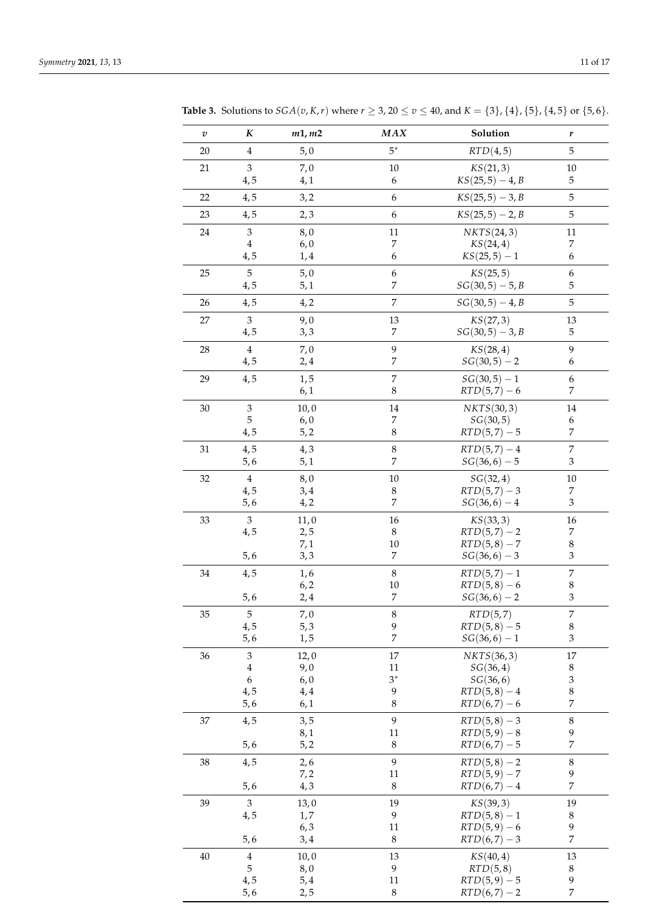| $\boldsymbol{v}$ | K                           | m1, m2       | MAX                                  | Solution                          | r                                |
|------------------|-----------------------------|--------------|--------------------------------------|-----------------------------------|----------------------------------|
| 20               | $\overline{4}$              | 5,0          | $5^*$                                | RTD(4,5)                          | 5                                |
| 21               | 3                           | 7,0          | $10\,$                               | KS(21,3)                          | $10\,$                           |
|                  | 4, 5                        | 4,1          | 6                                    | $KS(25,5) - 4, B$                 | $\mathbf 5$                      |
| 22               | 4,5                         | 3,2          | $\boldsymbol{6}$                     | $KS(25,5) - 3, B$                 | $\mathbf 5$                      |
| 23               | 4,5                         | 2,3          | $\boldsymbol{6}$                     | $KS(25,5) - 2, B$                 | 5                                |
| 24               | $\ensuremath{\mathfrak{Z}}$ | 8,0          | 11                                   | NKTS(24,3)                        | 11                               |
|                  | $\overline{4}$              | 6,0          | $\boldsymbol{7}$                     | KS(24, 4)                         | 7                                |
|                  | 4,5                         | 1,4          | 6                                    | $KS(25,5)-1$                      | 6                                |
| 25               | 5                           | 5,0          | $\boldsymbol{6}$<br>7                | KS(25,5)                          | 6                                |
|                  | 4,5                         | 5,1          |                                      | $SG(30,5) - 5, B$                 | 5                                |
| 26               | 4,5                         | 4, 2         | $\overline{7}$                       | $SG(30,5) - 4, B$                 | 5                                |
| 27               | 3<br>4,5                    | 9,0<br>3, 3  | 13<br>7                              | KS(27,3)<br>$SG(30,5) - 3, B$     | 13<br>$\mathbf 5$                |
|                  |                             |              |                                      |                                   |                                  |
| 28               | $\bf 4$<br>4,5              | 7,0<br>2,4   | $\boldsymbol{9}$<br>$\boldsymbol{7}$ | KS(28, 4)<br>$SG(30,5) - 2$       | 9<br>6                           |
| 29               | 4,5                         | 1, 5         | $\overline{7}$                       | $SG(30,5) - 1$                    | 6                                |
|                  |                             | 6,1          | $\,8\,$                              | $RTD(5,7)-6$                      | $\boldsymbol{7}$                 |
| $30\,$           | $\ensuremath{\mathfrak{Z}}$ | 10,0         | 14                                   | NKTS(30,3)                        | 14                               |
|                  | 5                           | 6,0          | 7                                    | SG(30,5)                          | $\boldsymbol{6}$                 |
|                  | 4,5                         | 5, 2         | 8                                    | $RTD(5,7) - 5$                    | $\overline{7}$                   |
| 31               | 4,5                         | 4,3          | $\,$ 8 $\,$                          | $RTD(5,7) - 4$                    | $\boldsymbol{7}$                 |
|                  | 5, 6                        | 5,1          | $\overline{7}$                       | $SG(36, 6) - 5$                   | $\ensuremath{\mathfrak{Z}}$      |
| 32               | $\bf 4$                     | 8,0          | $10\,$                               | SG(32, 4)                         | $10\,$                           |
|                  | 4, 5<br>5, 6                | 3,4<br>4, 2  | 8<br>$\overline{7}$                  | $RTD(5,7) - 3$<br>$SG(36, 6) - 4$ | $\boldsymbol{7}$<br>3            |
|                  |                             |              |                                      |                                   |                                  |
| 33               | $\mathfrak{Z}$<br>4,5       | 11,0<br>2, 5 | 16<br>8                              | KS(33,3)<br>$RTD(5,7) - 2$        | 16<br>7                          |
|                  |                             | 7,1          | $10\,$                               | $RTD(5,8) - 7$                    | $\,$ 8 $\,$                      |
|                  | 5, 6                        | 3, 3         | 7                                    | $SG(36, 6) - 3$                   | 3                                |
| 34               | 4,5                         | 1, 6         | $\,8\,$                              | $RTD(5,7) - 1$                    | $\boldsymbol{7}$                 |
|                  |                             | 6, 2         | 10                                   | $RTD(5,8) - 6$                    | $\,8\,$                          |
|                  | 5, 6                        | 2,4          | 7                                    | $SG(36, 6) - 2$                   | 3                                |
| 35               | 5                           | 7,0          | $\,8\,$                              | RTD(5,7)<br>$RTD(5, 8) - 5$       | $\overline{7}$                   |
|                  | 4,5<br>5, 6                 | 5,3<br>1, 5  | 9<br>$\overline{7}$                  | $SG(36, 6) - 1$                   | 8<br>$\ensuremath{\mathfrak{Z}}$ |
| 36               | $\,3$                       | 12,0         | $17\,$                               | NKTS(36,3)                        | 17                               |
|                  | $\overline{4}$              | 9,0          | 11                                   | SG(36, 4)                         | $\,8\,$                          |
|                  | $\boldsymbol{6}$            | 6,0          | $3^*$                                | SG(36, 6)                         | 3                                |
|                  | 4,5                         | 4,4          | 9                                    | $RTD(5,8) - 4$                    | 8<br>7                           |
|                  | 5, 6                        | 6,1          | 8                                    | $RTD(6,7)-6$                      |                                  |
| 37               | 4,5                         | 3, 5<br>8,1  | 9<br>11                              | $RTD(5,8) - 3$<br>$RTD(5,9) - 8$  | $\,8\,$<br>9                     |
|                  | 5, 6                        | 5, 2         | $\,8\,$                              | $RTD(6,7) - 5$                    | $\overline{7}$                   |
| 38               | 4,5                         | 2, 6         | $\boldsymbol{9}$                     | $RTD(5,8) - 2$                    | $\,8\,$                          |
|                  |                             | 7,2          | 11                                   | $RTD(5,9) - 7$                    | 9                                |
|                  | 5, 6                        | 4,3          | $\,8\,$                              | $RTD(6,7) - 4$                    | $\overline{7}$                   |
| 39               | $\mathfrak{Z}$              | 13,0         | 19                                   | KS(39,3)                          | 19                               |
|                  | 4,5                         | 1,7          | 9                                    | $RTD(5,8) - 1$                    | $\,8\,$                          |
|                  | 5, 6                        | 6, 3<br>3,4  | 11<br>$\,8\,$                        | $RTD(5,9) - 6$<br>$RTD(6,7) - 3$  | 9<br>$\overline{7}$              |
| $40\,$           | $\overline{4}$              | 10,0         | 13                                   | KS(40, 4)                         | 13                               |
|                  | 5                           | 8,0          | 9                                    | RTD(5,8)                          | $\,8\,$                          |
|                  | 4,5                         | 5,4          | 11                                   | $RTD(5,9) - 5$                    | 9                                |
|                  | 5,6                         | 2,5          | 8                                    | $RTD(6,7) - 2$                    | 7                                |

<span id="page-10-0"></span>**Table 3.** Solutions to  $SGA(v, K, r)$  where  $r \ge 3$ ,  $20 \le v \le 40$ , and  $K = \{3\}$ ,  $\{4\}$ ,  $\{5\}$ ,  $\{4, 5\}$  or  $\{5, 6\}$ .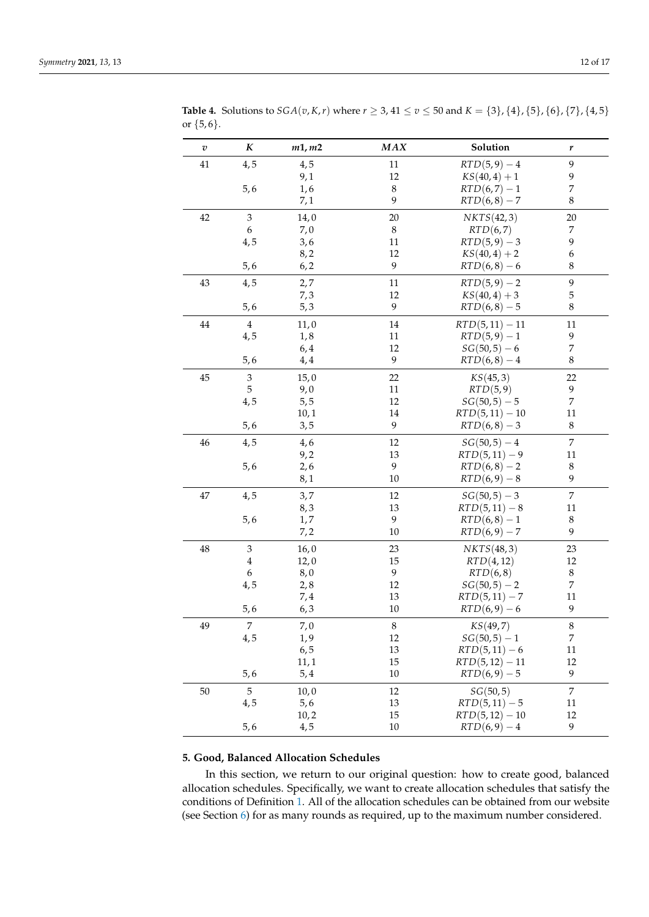| $\boldsymbol{v}$ | $\boldsymbol{K}$ | m1, m2 | MAX     | Solution          | r                |
|------------------|------------------|--------|---------|-------------------|------------------|
| 41               | 4,5              | 4,5    | $11\,$  | $RTD(5,9) - 4$    | 9                |
|                  |                  | 9,1    | 12      | $KS(40, 4) + 1$   | 9                |
|                  | 5, 6             | 1,6    | $\,8\,$ | $RTD(6,7) - 1$    | 7                |
|                  |                  | 7,1    | 9       | $RTD(6,8) - 7$    | $\,$ 8 $\,$      |
| $42\,$           | $\mathfrak{Z}$   | 14,0   | 20      | NKTS(42,3)        | 20               |
|                  | 6                | 7,0    | $\,8\,$ | RTD(6,7)          | 7                |
|                  | 4,5              | 3,6    | 11      | $RTD(5,9) - 3$    | 9                |
|                  |                  | 8, 2   | 12      | $KS(40, 4) + 2$   | 6                |
|                  | 5, 6             | 6, 2   | 9       | $RTD(6,8) - 6$    | 8                |
| 43               | 4,5              | 2,7    | 11      | $RTD(5,9) - 2$    | 9                |
|                  |                  | 7,3    | 12      | $KS(40, 4) + 3$   | 5                |
|                  | 5, 6             | 5,3    | 9       | $RTD(6, 8) - 5$   | 8                |
| 44               | $\overline{4}$   | 11,0   | 14      | $RTD(5, 11) - 11$ | 11               |
|                  | 4,5              | 1, 8   | 11      | $RTD(5,9) - 1$    | 9                |
|                  |                  | 6,4    | 12      | $SG(50, 5) - 6$   | $\boldsymbol{7}$ |
|                  | 5,6              | 4,4    | 9       | $RTD(6, 8) - 4$   | $\,8\,$          |
| 45               | 3                | 15,0   | 22      | KS(45,3)          | 22               |
|                  | 5                | 9,0    | 11      | RTD(5,9)          | 9                |
|                  | 4,5              | 5, 5   | 12      | $SG(50,5) - 5$    | $\overline{7}$   |
|                  |                  | 10,1   | 14      | $RTD(5, 11) - 10$ | 11               |
|                  | 5, 6             | 3, 5   | 9       | $RTD(6, 8) - 3$   | 8                |
| 46               | 4,5              | 4,6    | 12      | $SG(50,5) - 4$    | $\overline{7}$   |
|                  |                  | 9,2    | 13      | $RTD(5, 11) - 9$  | 11               |
|                  | 5,6              | 2,6    | 9       | $RTD(6,8) - 2$    | $\,8\,$          |
|                  |                  | 8,1    | $10\,$  | $RTD(6,9) - 8$    | 9                |
| 47               | 4,5              | 3,7    | 12      | $SG(50,5) - 3$    | $\overline{7}$   |
|                  |                  | 8,3    | 13      | $RTD(5, 11) - 8$  | 11               |
|                  | 5,6              | 1,7    | 9       | $RTD(6,8) - 1$    | 8                |
|                  |                  | 7,2    | 10      | $RTD(6, 9) - 7$   | 9                |
| 48               | $\mathfrak{Z}$   | 16,0   | 23      | NKTS(48,3)        | 23               |
|                  | 4                | 12,0   | 15      | RTD(4, 12)        | 12               |
|                  | 6                | 8,0    | 9       | RTD(6,8)          | $\,8\,$          |
|                  | 4,5              | 2, 8   | 12      | $SG(50,5) - 2$    | $\overline{7}$   |
|                  |                  | 7,4    | 13      | $RTD(5, 11) - 7$  | 11               |
|                  | 5, 6             | 6, 3   | $10\,$  | $RTD(6,9)-6$      | 9                |
| 49               | $\overline{7}$   | 7,0    | 8       | KS(49,7)          | 8                |
|                  | 4,5              | 1,9    | 12      | $SG(50,5) - 1$    | $\overline{7}$   |
|                  |                  | 6, 5   | 13      | $RTD(5, 11) - 6$  | 11               |
|                  |                  | 11,1   | 15      | $RTD(5, 12) - 11$ | 12               |
|                  | 5, 6             | 5,4    | 10      | $RTD(6, 9) - 5$   | 9                |
| 50               | $\mathbf 5$      | 10,0   | 12      | SG(50, 5)         | $\overline{7}$   |
|                  | 4,5              | 5,6    | 13      | $RTD(5, 11) - 5$  | $11\,$           |
|                  |                  | 10, 2  | 15      | $RTD(5, 12) - 10$ | 12               |

<span id="page-11-0"></span>**Table 4.** Solutions to  $SGA(v, K, r)$  where  $r \geq 3$ ,  $41 \leq v \leq 50$  and  $K = \{3\}$ ,  $\{4\}$ ,  $\{5\}$ ,  $\{6\}$ ,  $\{7\}$ ,  $\{4, 5\}$ or  $\{5, 6\}.$ 

### **5. Good, Balanced Allocation Schedules**

In this section, we return to our original question: how to create good, balanced allocation schedules. Specifically, we want to create allocation schedules that satisfy the conditions of Definition [1.](#page-2-0) All of the allocation schedules can be obtained from our website (see Section [6\)](#page-13-0) for as many rounds as required, up to the maximum number considered.

 $5,6$  4, 5 10  $RTD(6,9)-4$  9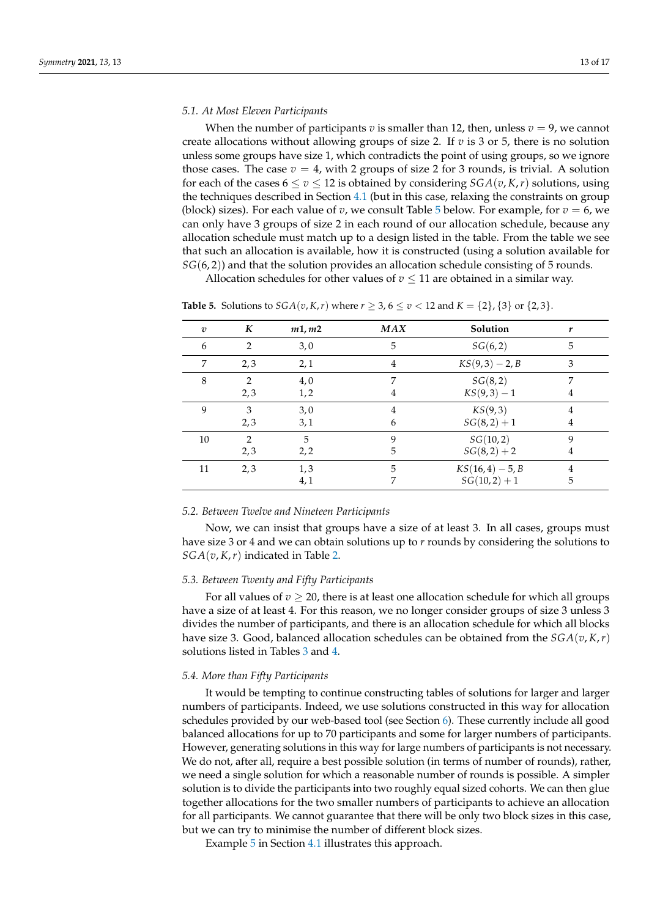#### <span id="page-12-0"></span>*5.1. At Most Eleven Participants*

When the number of participants *v* is smaller than 12, then, unless  $v = 9$ , we cannot create allocations without allowing groups of size 2. If *v* is 3 or 5, there is no solution unless some groups have size 1, which contradicts the point of using groups, so we ignore those cases. The case  $v = 4$ , with 2 groups of size 2 for 3 rounds, is trivial. A solution for each of the cases  $6 \le v \le 12$  is obtained by considering  $SGA(v, K, r)$  solutions, using the techniques described in Section [4.1](#page-4-0) (but in this case, relaxing the constraints on group (block) sizes). For each value of *v*, we consult Table [5](#page-12-2) below. For example, for  $v = 6$ , we can only have 3 groups of size 2 in each round of our allocation schedule, because any allocation schedule must match up to a design listed in the table. From the table we see that such an allocation is available, how it is constructed (using a solution available for *SG*(6,2)) and that the solution provides an allocation schedule consisting of 5 rounds.

Allocation schedules for other values of  $v \leq 11$  are obtained in a similar way.

| $\boldsymbol{v}$ | K              | m1, m2 | <b>MAX</b>     | Solution           | r |
|------------------|----------------|--------|----------------|--------------------|---|
| 6                | $\overline{2}$ | 3,0    | 5              | SG(6,2)            | 5 |
| 7                | 2,3            | 2,1    | $\overline{4}$ | $KS(9,3) - 2, B$   | 3 |
| 8                | $\mathcal{L}$  | 4,0    | 7              | SG(8, 2)           | 7 |
|                  | 2,3            | 1, 2   | 4              | $KS(9,3) - 1$      | 4 |
| 9                | 3              | 3,0    | 4              | KS(9,3)            | 4 |
|                  | 2,3            | 3,1    | 6              | $SG(8,2) + 1$      | 4 |
| 10               | $\mathcal{P}$  | 5      | 9              | SG(10, 2)          | 9 |
|                  | 2,3            | 2,2    | 5              | $SG(8,2) + 2$      | 4 |
| 11               | 2,3            | 1,3    | 5              | $KS(16, 4) - 5, B$ | 4 |
|                  |                | 4,1    |                | $SG(10,2) + 1$     | 5 |

<span id="page-12-2"></span>**Table 5.** Solutions to  $SGA(v, K, r)$  where  $r \ge 3$ ,  $6 \le v < 12$  and  $K = \{2\}, \{3\}$  or  $\{2, 3\}.$ 

#### *5.2. Between Twelve and Nineteen Participants*

Now, we can insist that groups have a size of at least 3. In all cases, groups must have size 3 or 4 and we can obtain solutions up to *r* rounds by considering the solutions to *SGA*(*v*, *K*,*r*) indicated in Table [2.](#page-9-1)

### *5.3. Between Twenty and Fifty Participants*

For all values of  $v \geq 20$ , there is at least one allocation schedule for which all groups have a size of at least 4. For this reason, we no longer consider groups of size 3 unless 3 divides the number of participants, and there is an allocation schedule for which all blocks have size 3. Good, balanced allocation schedules can be obtained from the *SGA*(*v*, *K*,*r*) solutions listed in Tables [3](#page-10-0) and [4.](#page-11-0)

#### <span id="page-12-1"></span>*5.4. More than Fifty Participants*

It would be tempting to continue constructing tables of solutions for larger and larger numbers of participants. Indeed, we use solutions constructed in this way for allocation schedules provided by our web-based tool (see Section [6\)](#page-13-0). These currently include all good balanced allocations for up to 70 participants and some for larger numbers of participants. However, generating solutions in this way for large numbers of participants is not necessary. We do not, after all, require a best possible solution (in terms of number of rounds), rather, we need a single solution for which a reasonable number of rounds is possible. A simpler solution is to divide the participants into two roughly equal sized cohorts. We can then glue together allocations for the two smaller numbers of participants to achieve an allocation for all participants. We cannot guarantee that there will be only two block sizes in this case, but we can try to minimise the number of different block sizes.

Example [5](#page-7-1) in Section [4.1](#page-4-0) illustrates this approach.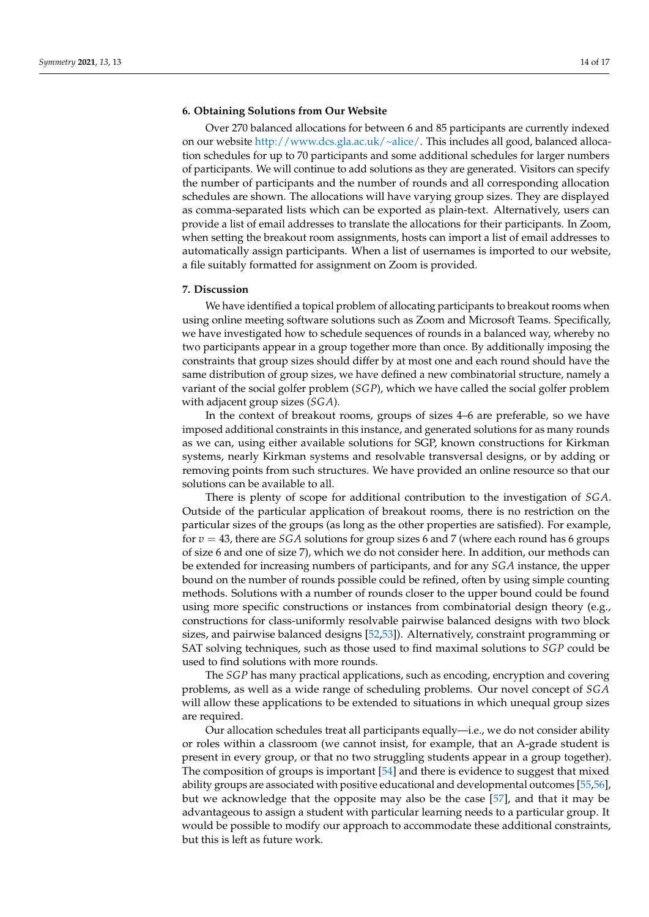## <span id="page-13-0"></span>**6. Obtaining Solutions from Our Website**

Over 270 balanced allocations for between 6 and 85 participants are currently indexed on our website [http://www.dcs.gla.ac.uk/~alice/.](http://www.dcs.gla.ac.uk/~alice/) This includes all good, balanced allocation schedules for up to 70 participants and some additional schedules for larger numbers of participants. We will continue to add solutions as they are generated. Visitors can specify the number of participants and the number of rounds and all corresponding allocation schedules are shown. The allocations will have varying group sizes. They are displayed as comma-separated lists which can be exported as plain-text. Alternatively, users can provide a list of email addresses to translate the allocations for their participants. In Zoom, when setting the breakout room assignments, hosts can import a list of email addresses to automatically assign participants. When a list of usernames is imported to our website, a file suitably formatted for assignment on Zoom is provided.

#### **7. Discussion**

We have identified a topical problem of allocating participants to breakout rooms when using online meeting software solutions such as Zoom and Microsoft Teams. Specifically, we have investigated how to schedule sequences of rounds in a balanced way, whereby no two participants appear in a group together more than once. By additionally imposing the constraints that group sizes should differ by at most one and each round should have the same distribution of group sizes, we have defined a new combinatorial structure, namely a variant of the social golfer problem (*SGP*), which we have called the social golfer problem with adjacent group sizes (*SGA*).

In the context of breakout rooms, groups of sizes 4–6 are preferable, so we have imposed additional constraints in this instance, and generated solutions for as many rounds as we can, using either available solutions for SGP, known constructions for Kirkman systems, nearly Kirkman systems and resolvable transversal designs, or by adding or removing points from such structures. We have provided an online resource so that our solutions can be available to all.

There is plenty of scope for additional contribution to the investigation of *SGA*. Outside of the particular application of breakout rooms, there is no restriction on the particular sizes of the groups (as long as the other properties are satisfied). For example, for  $v = 43$ , there are *SGA* solutions for group sizes 6 and 7 (where each round has 6 groups of size 6 and one of size 7), which we do not consider here. In addition, our methods can be extended for increasing numbers of participants, and for any *SGA* instance, the upper bound on the number of rounds possible could be refined, often by using simple counting methods. Solutions with a number of rounds closer to the upper bound could be found using more specific constructions or instances from combinatorial design theory (e.g., constructions for class-uniformly resolvable pairwise balanced designs with two block sizes, and pairwise balanced designs [\[52,](#page-15-26)[53\]](#page-15-27)). Alternatively, constraint programming or SAT solving techniques, such as those used to find maximal solutions to *SGP* could be used to find solutions with more rounds.

The *SGP* has many practical applications, such as encoding, encryption and covering problems, as well as a wide range of scheduling problems. Our novel concept of *SGA* will allow these applications to be extended to situations in which unequal group sizes are required.

Our allocation schedules treat all participants equally—i.e., we do not consider ability or roles within a classroom (we cannot insist, for example, that an A-grade student is present in every group, or that no two struggling students appear in a group together). The composition of groups is important [\[54\]](#page-15-28) and there is evidence to suggest that mixed ability groups are associated with positive educational and developmental outcomes [\[55](#page-16-0)[,56\]](#page-16-1), but we acknowledge that the opposite may also be the case [\[57\]](#page-16-2), and that it may be advantageous to assign a student with particular learning needs to a particular group. It would be possible to modify our approach to accommodate these additional constraints, but this is left as future work.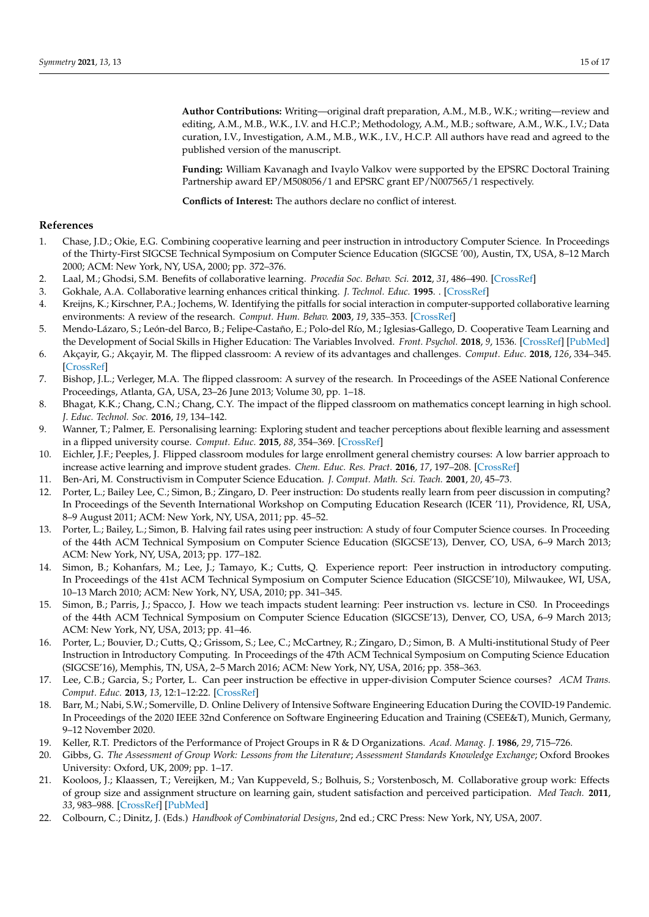**Author Contributions:** Writing—original draft preparation, A.M., M.B., W.K.; writing—review and editing, A.M., M.B., W.K., I.V. and H.C.P.; Methodology, A.M., M.B.; software, A.M., W.K., I.V.; Data curation, I.V., Investigation, A.M., M.B., W.K., I.V., H.C.P. All authors have read and agreed to the published version of the manuscript.

**Funding:** William Kavanagh and Ivaylo Valkov were supported by the EPSRC Doctoral Training Partnership award EP/M508056/1 and EPSRC grant EP/N007565/1 respectively.

**Conflicts of Interest:** The authors declare no conflict of interest.

#### **References**

- <span id="page-14-0"></span>1. Chase, J.D.; Okie, E.G. Combining cooperative learning and peer instruction in introductory Computer Science. In Proceedings of the Thirty-First SIGCSE Technical Symposium on Computer Science Education (SIGCSE '00), Austin, TX, USA, 8–12 March 2000; ACM: New York, NY, USA, 2000; pp. 372–376.
- <span id="page-14-1"></span>2. Laal, M.; Ghodsi, S.M. Benefits of collaborative learning. *Procedia Soc. Behav. Sci.* **2012**, *31*, 486–490. [\[CrossRef\]](http://dx.doi.org/10.1016/j.sbspro.2011.12.091)
- <span id="page-14-2"></span>3. Gokhale, A.A. Collaborative learning enhances critical thinking. *J. Technol. Educ.* **1995**. . [\[CrossRef\]](http://dx.doi.org/10.21061/jte.v7i1.a.2)
- <span id="page-14-3"></span>4. Kreijns, K.; Kirschner, P.A.; Jochems, W. Identifying the pitfalls for social interaction in computer-supported collaborative learning environments: A review of the research. *Comput. Hum. Behav.* **2003**, *19*, 335–353. [\[CrossRef\]](http://dx.doi.org/10.1016/S0747-5632(02)00057-2)
- <span id="page-14-4"></span>5. Mendo-Lázaro, S.; León-del Barco, B.; Felipe-Castaño, E.; Polo-del Río, M.; Iglesias-Gallego, D. Cooperative Team Learning and the Development of Social Skills in Higher Education: The Variables Involved. *Front. Psychol.* **2018**, *9*, 1536. [\[CrossRef\]](http://dx.doi.org/10.3389/fpsyg.2018.01536) [\[PubMed\]](http://www.ncbi.nlm.nih.gov/pubmed/30186208)
- <span id="page-14-5"></span>6. Akçayir, G.; Akçayir, M. The flipped classroom: A review of its advantages and challenges. *Comput. Educ.* **2018**, *126*, 334–345. [\[CrossRef\]](http://dx.doi.org/10.1016/j.compedu.2018.07.021)
- <span id="page-14-6"></span>7. Bishop, J.L.; Verleger, M.A. The flipped classroom: A survey of the research. In Proceedings of the ASEE National Conference Proceedings, Atlanta, GA, USA, 23–26 June 2013; Volume 30, pp. 1–18.
- <span id="page-14-7"></span>8. Bhagat, K.K.; Chang, C.N.; Chang, C.Y. The impact of the flipped classroom on mathematics concept learning in high school. *J. Educ. Technol. Soc.* **2016**, *19*, 134–142.
- <span id="page-14-8"></span>9. Wanner, T.; Palmer, E. Personalising learning: Exploring student and teacher perceptions about flexible learning and assessment in a flipped university course. *Comput. Educ.* **2015**, *88*, 354–369. [\[CrossRef\]](http://dx.doi.org/10.1016/j.compedu.2015.07.008)
- <span id="page-14-9"></span>10. Eichler, J.F.; Peeples, J. Flipped classroom modules for large enrollment general chemistry courses: A low barrier approach to increase active learning and improve student grades. *Chem. Educ. Res. Pract.* **2016**, *17*, 197–208. [\[CrossRef\]](http://dx.doi.org/10.1039/C5RP00159E)
- <span id="page-14-10"></span>11. Ben-Ari, M. Constructivism in Computer Science Education. *J. Comput. Math. Sci. Teach.* **2001**, *20*, 45–73.
- <span id="page-14-11"></span>12. Porter, L.; Bailey Lee, C.; Simon, B.; Zingaro, D. Peer instruction: Do students really learn from peer discussion in computing? In Proceedings of the Seventh International Workshop on Computing Education Research (ICER '11), Providence, RI, USA, 8–9 August 2011; ACM: New York, NY, USA, 2011; pp. 45–52.
- <span id="page-14-12"></span>13. Porter, L.; Bailey, L.; Simon, B. Halving fail rates using peer instruction: A study of four Computer Science courses. In Proceeding of the 44th ACM Technical Symposium on Computer Science Education (SIGCSE'13), Denver, CO, USA, 6–9 March 2013; ACM: New York, NY, USA, 2013; pp. 177–182.
- <span id="page-14-13"></span>14. Simon, B.; Kohanfars, M.; Lee, J.; Tamayo, K.; Cutts, Q. Experience report: Peer instruction in introductory computing. In Proceedings of the 41st ACM Technical Symposium on Computer Science Education (SIGCSE'10), Milwaukee, WI, USA, 10–13 March 2010; ACM: New York, NY, USA, 2010; pp. 341–345.
- 15. Simon, B.; Parris, J.; Spacco, J. How we teach impacts student learning: Peer instruction vs. lecture in CS0. In Proceedings of the 44th ACM Technical Symposium on Computer Science Education (SIGCSE'13), Denver, CO, USA, 6–9 March 2013; ACM: New York, NY, USA, 2013; pp. 41–46.
- <span id="page-14-14"></span>16. Porter, L.; Bouvier, D.; Cutts, Q.; Grissom, S.; Lee, C.; McCartney, R.; Zingaro, D.; Simon, B. A Multi-institutional Study of Peer Instruction in Introductory Computing. In Proceedings of the 47th ACM Technical Symposium on Computing Science Education (SIGCSE'16), Memphis, TN, USA, 2–5 March 2016; ACM: New York, NY, USA, 2016; pp. 358–363.
- <span id="page-14-15"></span>17. Lee, C.B.; Garcia, S.; Porter, L. Can peer instruction be effective in upper-division Computer Science courses? *ACM Trans. Comput. Educ.* **2013**, *13*, 12:1–12:22. [\[CrossRef\]](http://dx.doi.org/10.1145/2499947.2499949)
- <span id="page-14-16"></span>18. Barr, M.; Nabi, S.W.; Somerville, D. Online Delivery of Intensive Software Engineering Education During the COVID-19 Pandemic. In Proceedings of the 2020 IEEE 32nd Conference on Software Engineering Education and Training (CSEE&T), Munich, Germany, 9–12 November 2020.
- <span id="page-14-17"></span>19. Keller, R.T. Predictors of the Performance of Project Groups in R & D Organizations. *Acad. Manag. J.* **1986**, *29*, 715–726.
- 20. Gibbs, G. *The Assessment of Group Work: Lessons from the Literature*; *Assessment Standards Knowledge Exchange*; Oxford Brookes University: Oxford, UK, 2009; pp. 1–17.
- <span id="page-14-18"></span>21. Kooloos, J.; Klaassen, T.; Vereijken, M.; Van Kuppeveld, S.; Bolhuis, S.; Vorstenbosch, M. Collaborative group work: Effects of group size and assignment structure on learning gain, student satisfaction and perceived participation. *Med Teach.* **2011**, *33*, 983–988. [\[CrossRef\]](http://dx.doi.org/10.3109/0142159X.2011.588733) [\[PubMed\]](http://www.ncbi.nlm.nih.gov/pubmed/22225436)
- <span id="page-14-19"></span>22. Colbourn, C.; Dinitz, J. (Eds.) *Handbook of Combinatorial Designs*, 2nd ed.; CRC Press: New York, NY, USA, 2007.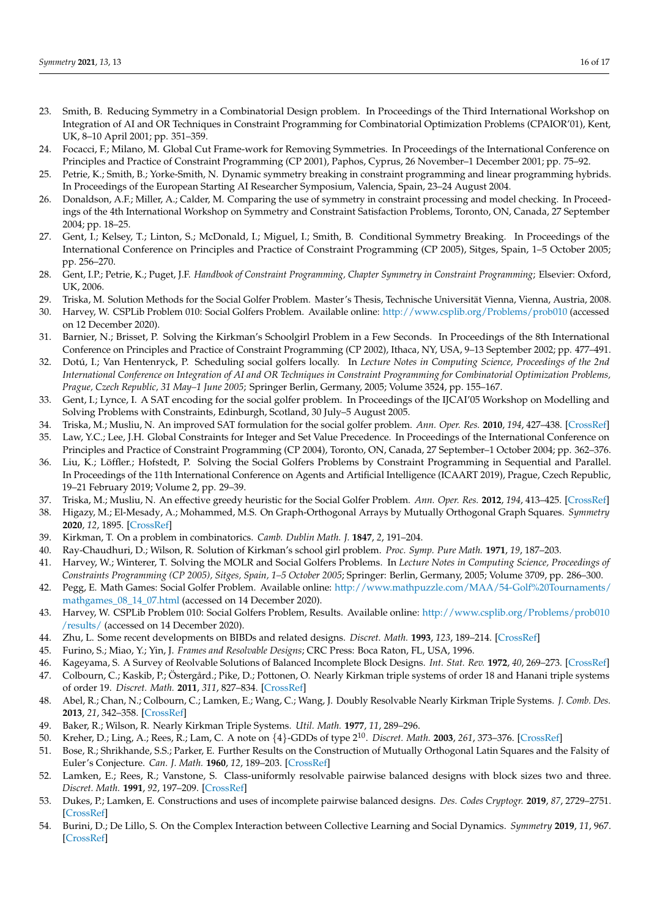- <span id="page-15-0"></span>23. Smith, B. Reducing Symmetry in a Combinatorial Design problem. In Proceedings of the Third International Workshop on Integration of AI and OR Techniques in Constraint Programming for Combinatorial Optimization Problems (CPAIOR'01), Kent, UK, 8–10 April 2001; pp. 351–359.
- 24. Focacci, F.; Milano, M. Global Cut Frame-work for Removing Symmetries. In Proceedings of the International Conference on Principles and Practice of Constraint Programming (CP 2001), Paphos, Cyprus, 26 November–1 December 2001; pp. 75–92.
- <span id="page-15-4"></span>25. Petrie, K.; Smith, B.; Yorke-Smith, N. Dynamic symmetry breaking in constraint programming and linear programming hybrids. In Proceedings of the European Starting AI Researcher Symposium, Valencia, Spain, 23–24 August 2004.
- 26. Donaldson, A.F.; Miller, A.; Calder, M. Comparing the use of symmetry in constraint processing and model checking. In Proceedings of the 4th International Workshop on Symmetry and Constraint Satisfaction Problems, Toronto, ON, Canada, 27 September 2004; pp. 18–25.
- 27. Gent, I.; Kelsey, T.; Linton, S.; McDonald, I.; Miguel, I.; Smith, B. Conditional Symmetry Breaking. In Proceedings of the International Conference on Principles and Practice of Constraint Programming (CP 2005), Sitges, Spain, 1–5 October 2005; pp. 256–270.
- <span id="page-15-1"></span>28. Gent, I.P.; Petrie, K.; Puget, J.F. *Handbook of Constraint Programming, Chapter Symmetry in Constraint Programming*; Elsevier: Oxford, UK, 2006.
- <span id="page-15-3"></span><span id="page-15-2"></span>29. Triska, M. Solution Methods for the Social Golfer Problem. Master's Thesis, Technische Universität Vienna, Vienna, Austria, 2008. 30. Harvey, W. CSPLib Problem 010: Social Golfers Problem. Available online: <http://www.csplib.org/Problems/prob010> (accessed on 12 December 2020).
- <span id="page-15-5"></span>31. Barnier, N.; Brisset, P. Solving the Kirkman's Schoolgirl Problem in a Few Seconds. In Proceedings of the 8th International Conference on Principles and Practice of Constraint Programming (CP 2002), Ithaca, NY, USA, 9–13 September 2002; pp. 477–491.
- <span id="page-15-6"></span>32. Dotú, I.; Van Hentenryck, P. Scheduling social golfers locally. In *Lecture Notes in Computing Science, Proceedings of the 2nd International Conference on Integration of AI and OR Techniques in Constraint Programming for Combinatorial Optimization Problems, Prague, Czech Republic, 31 May–1 June 2005*; Springer Berlin, Germany, 2005; Volume 3524, pp. 155–167.
- <span id="page-15-7"></span>33. Gent, I.; Lynce, I. A SAT encoding for the social golfer problem. In Proceedings of the IJCAI'05 Workshop on Modelling and Solving Problems with Constraints, Edinburgh, Scotland, 30 July–5 August 2005.
- <span id="page-15-8"></span>34. Triska, M.; Musliu, N. An improved SAT formulation for the social golfer problem. *Ann. Oper. Res.* **2010**, *194*, 427–438. [\[CrossRef\]](http://dx.doi.org/10.1007/s10479-010-0702-5)
- <span id="page-15-9"></span>35. Law, Y.C.; Lee, J.H. Global Constraints for Integer and Set Value Precedence. In Proceedings of the International Conference on Principles and Practice of Constraint Programming (CP 2004), Toronto, ON, Canada, 27 September–1 October 2004; pp. 362–376.
- <span id="page-15-10"></span>36. Liu, K.; Löffler.; Hofstedt, P. Solving the Social Golfers Problems by Constraint Programming in Sequential and Parallel. In Proceedings of the 11th International Conference on Agents and Artificial Intelligence (ICAART 2019), Prague, Czech Republic, 19–21 February 2019; Volume 2, pp. 29–39.
- <span id="page-15-11"></span>37. Triska, M.; Musliu, N. An effective greedy heuristic for the Social Golfer Problem. *Ann. Oper. Res.* **2012**, *194*, 413–425. [\[CrossRef\]](http://dx.doi.org/10.1007/s10479-011-0866-7)
- <span id="page-15-12"></span>38. Higazy, M.; El-Mesady, A.; Mohammed, M.S. On Graph-Orthogonal Arrays by Mutually Orthogonal Graph Squares. *Symmetry* **2020**, *12*, 1895. [\[CrossRef\]](http://dx.doi.org/10.3390/sym12111895)
- <span id="page-15-13"></span>39. Kirkman, T. On a problem in combinatorics. *Camb. Dublin Math. J.* **1847**, *2*, 191–204.
- <span id="page-15-14"></span>40. Ray-Chaudhuri, D.; Wilson, R. Solution of Kirkman's school girl problem. *Proc. Symp. Pure Math.* **1971**, *19*, 187–203.
- <span id="page-15-15"></span>41. Harvey, W.; Winterer, T. Solving the MOLR and Social Golfers Problems. In *Lecture Notes in Computing Science, Proceedings of Constraints Programming (CP 2005), Sitges, Spain, 1–5 October 2005*; Springer: Berlin, Germany, 2005; Volume 3709, pp. 286–300.
- <span id="page-15-16"></span>42. Pegg, E. Math Games: Social Golfer Problem. Available online: [http://www.mathpuzzle.com/MAA/54-Golf%20Tournaments/](http://www.mathpuzzle.com/MAA/54-Golf%20Tournaments/mathgames_08_14_07.html) [mathgames\\_08\\_14\\_07.html](http://www.mathpuzzle.com/MAA/54-Golf%20Tournaments/mathgames_08_14_07.html) (accessed on 14 December 2020).
- <span id="page-15-17"></span>43. Harvey, W. CSPLib Problem 010: Social Golfers Problem, Results. Available online: [http://www.csplib.org/Problems/prob010](http://www.csplib.org/Problems/prob010/results/) [/results/](http://www.csplib.org/Problems/prob010/results/) (accessed on 14 December 2020).
- <span id="page-15-18"></span>44. Zhu, L. Some recent developments on BIBDs and related designs. *Discret. Math.* **1993**, *123*, 189–214. [\[CrossRef\]](http://dx.doi.org/10.1016/0012-365X(93)90016-M)
- <span id="page-15-19"></span>45. Furino, S.; Miao, Y.; Yin, J. *Frames and Resolvable Designs*; CRC Press: Boca Raton, FL, USA, 1996.
- <span id="page-15-20"></span>46. Kageyama, S. A Survey of Reolvable Solutions of Balanced Incomplete Block Designs. *Int. Stat. Rev.* **1972**, *40*, 269–273. [\[CrossRef\]](http://dx.doi.org/10.2307/1402466)
- <span id="page-15-21"></span>47. Colbourn, C.; Kaskib, P.; Östergård.; Pike, D.; Pottonen, O. Nearly Kirkman triple systems of order 18 and Hanani triple systems of order 19. *Discret. Math.* **2011**, *311*, 827–834. [\[CrossRef\]](http://dx.doi.org/10.1016/j.disc.2011.02.005)
- <span id="page-15-22"></span>48. Abel, R.; Chan, N.; Colbourn, C.; Lamken, E.; Wang, C.; Wang, J. Doubly Resolvable Nearly Kirkman Triple Systems. *J. Comb. Des.* **2013**, *21*, 342–358. [\[CrossRef\]](http://dx.doi.org/10.1002/jcd.21342)
- <span id="page-15-23"></span>49. Baker, R.; Wilson, R. Nearly Kirkman Triple Systems. *Util. Math.* **1977**, *11*, 289–296.
- <span id="page-15-24"></span>50. Kreher, D.; Ling, A.; Rees, R.; Lam, C. A note on {4}-GDDs of type 2<sup>10</sup> . *Discret. Math.* **2003**, *261*, 373–376. [\[CrossRef\]](http://dx.doi.org/10.1016/S0012-365X(02)00482-X)
- <span id="page-15-25"></span>51. Bose, R.; Shrikhande, S.S.; Parker, E. Further Results on the Construction of Mutually Orthogonal Latin Squares and the Falsity of Euler's Conjecture. *Can. J. Math.* **1960**, *12*, 189–203. [\[CrossRef\]](http://dx.doi.org/10.4153/CJM-1960-016-5)
- <span id="page-15-26"></span>52. Lamken, E.; Rees, R.; Vanstone, S. Class-uniformly resolvable pairwise balanced designs with block sizes two and three. *Discret. Math.* **1991**, *92*, 197–209. [\[CrossRef\]](http://dx.doi.org/10.1016/0012-365X(91)90281-6)
- <span id="page-15-27"></span>53. Dukes, P.; Lamken, E. Constructions and uses of incomplete pairwise balanced designs. *Des. Codes Cryptogr.* **2019**, *87*, 2729–2751. [\[CrossRef\]](http://dx.doi.org/10.1007/s10623-019-00645-6)
- <span id="page-15-28"></span>54. Burini, D.; De Lillo, S. On the Complex Interaction between Collective Learning and Social Dynamics. *Symmetry* **2019**, *11*, 967. [\[CrossRef\]](http://dx.doi.org/10.3390/sym11080967)